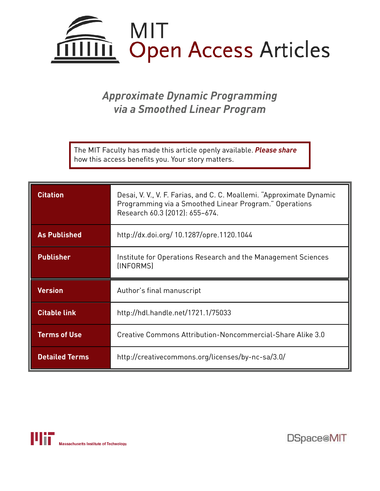

# *Approximate Dynamic Programming via a Smoothed Linear Program*

The MIT Faculty has made this article openly available. *Please share*  how this access benefits you. Your story matters.

| <b>Citation</b>     | Desai, V. V., V. F. Farias, and C. C. Moallemi. "Approximate Dynamic<br>Programming via a Smoothed Linear Program." Operations<br>Research 60.3 (2012): 655-674. |  |
|---------------------|------------------------------------------------------------------------------------------------------------------------------------------------------------------|--|
| <b>As Published</b> | http://dx.doi.org/ 10.1287/opre.1120.1044                                                                                                                        |  |
| <b>Publisher</b>    | Institute for Operations Research and the Management Sciences<br>(INFORMS)                                                                                       |  |
|                     |                                                                                                                                                                  |  |
| <b>Version</b>      | Author's final manuscript                                                                                                                                        |  |
| <b>Citable link</b> | http://hdl.handle.net/1721.1/75033                                                                                                                               |  |
| <b>Terms of Use</b> | Creative Commons Attribution-Noncommercial-Share Alike 3.0                                                                                                       |  |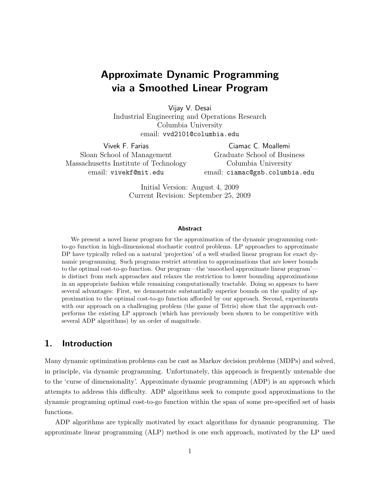# **Approximate Dynamic Programming via a Smoothed Linear Program**

Vijay V. Desai Industrial Engineering and Operations Research Columbia University email: vvd2101@columbia.edu

Vivek F. Farias Sloan School of Management Massachusetts Institute of Technology email: vivekf@mit.edu

Ciamac C. Moallemi Graduate School of Business Columbia University email: ciamac@gsb.columbia.edu

Initial Version: August 4, 2009 Current Revision: September 25, 2009

#### **Abstract**

We present a novel linear program for the approximation of the dynamic programming costto-go function in high-dimensional stochastic control problems. LP approaches to approximate DP have typically relied on a natural 'projection' of a well studied linear program for exact dynamic programming. Such programs restrict attention to approximations that are lower bounds to the optimal cost-to-go function. Our program—the 'smoothed approximate linear program' is distinct from such approaches and relaxes the restriction to lower bounding approximations in an appropriate fashion while remaining computationally tractable. Doing so appears to have several advantages: First, we demonstrate substantially superior bounds on the quality of approximation to the optimal cost-to-go function afforded by our approach. Second, experiments with our approach on a challenging problem (the game of Tetris) show that the approach outperforms the existing LP approach (which has previously been shown to be competitive with several ADP algorithms) by an order of magnitude.

## **1. Introduction**

Many dynamic optimization problems can be cast as Markov decision problems (MDPs) and solved, in principle, via dynamic programming. Unfortunately, this approach is frequently untenable due to the 'curse of dimensionality'. Approximate dynamic programming (ADP) is an approach which attempts to address this difficulty. ADP algorithms seek to compute good approximations to the dynamic programing optimal cost-to-go function within the span of some pre-specified set of basis functions.

ADP algorithms are typically motivated by exact algorithms for dynamic programming. The approximate linear programming (ALP) method is one such approach, motivated by the LP used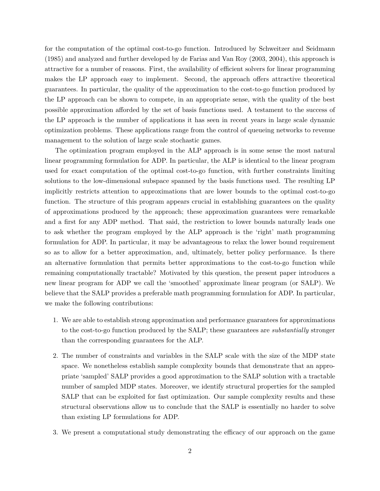for the computation of the optimal cost-to-go function. Introduced by Schweitzer and Seidmann (1985) and analyzed and further developed by de Farias and Van Roy (2003, 2004), this approach is attractive for a number of reasons. First, the availability of efficient solvers for linear programming makes the LP approach easy to implement. Second, the approach offers attractive theoretical guarantees. In particular, the quality of the approximation to the cost-to-go function produced by the LP approach can be shown to compete, in an appropriate sense, with the quality of the best possible approximation afforded by the set of basis functions used. A testament to the success of the LP approach is the number of applications it has seen in recent years in large scale dynamic optimization problems. These applications range from the control of queueing networks to revenue management to the solution of large scale stochastic games.

The optimization program employed in the ALP approach is in some sense the most natural linear programming formulation for ADP. In particular, the ALP is identical to the linear program used for exact computation of the optimal cost-to-go function, with further constraints limiting solutions to the low-dimensional subspace spanned by the basis functions used. The resulting LP implicitly restricts attention to approximations that are lower bounds to the optimal cost-to-go function. The structure of this program appears crucial in establishing guarantees on the quality of approximations produced by the approach; these approximation guarantees were remarkable and a first for any ADP method. That said, the restriction to lower bounds naturally leads one to ask whether the program employed by the ALP approach is the 'right' math programming formulation for ADP. In particular, it may be advantageous to relax the lower bound requirement so as to allow for a better approximation, and, ultimately, better policy performance. Is there an alternative formulation that permits better approximations to the cost-to-go function while remaining computationally tractable? Motivated by this question, the present paper introduces a new linear program for ADP we call the 'smoothed' approximate linear program (or SALP). We believe that the SALP provides a preferable math programming formulation for ADP. In particular, we make the following contributions:

- 1. We are able to establish strong approximation and performance guarantees for approximations to the cost-to-go function produced by the SALP; these guarantees are *substantially* stronger than the corresponding guarantees for the ALP.
- 2. The number of constraints and variables in the SALP scale with the size of the MDP state space. We nonetheless establish sample complexity bounds that demonstrate that an appropriate 'sampled' SALP provides a good approximation to the SALP solution with a tractable number of sampled MDP states. Moreover, we identify structural properties for the sampled SALP that can be exploited for fast optimization. Our sample complexity results and these structural observations allow us to conclude that the SALP is essentially no harder to solve than existing LP formulations for ADP.
- 3. We present a computational study demonstrating the efficacy of our approach on the game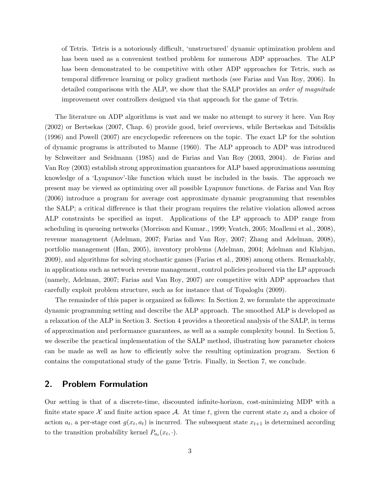of Tetris. Tetris is a notoriously difficult, 'unstructured' dynamic optimization problem and has been used as a convenient testbed problem for numerous ADP approaches. The ALP has been demonstrated to be competitive with other ADP approaches for Tetris, such as temporal difference learning or policy gradient methods (see Farias and Van Roy, 2006). In detailed comparisons with the ALP, we show that the SALP provides an *order of magnitude* improvement over controllers designed via that approach for the game of Tetris.

The literature on ADP algorithms is vast and we make no attempt to survey it here. Van Roy (2002) or Bertsekas (2007, Chap. 6) provide good, brief overviews, while Bertsekas and Tsitsiklis (1996) and Powell (2007) are encyclopedic references on the topic. The exact LP for the solution of dynamic programs is attributed to Manne (1960). The ALP approach to ADP was introduced by Schweitzer and Seidmann (1985) and de Farias and Van Roy (2003, 2004). de Farias and Van Roy (2003) establish strong approximation guarantees for ALP based approximations assuming knowledge of a 'Lyapunov'-like function which must be included in the basis. The approach we present may be viewed as optimizing over all possible Lyapunov functions. de Farias and Van Roy (2006) introduce a program for average cost approximate dynamic programming that resembles the SALP; a critical difference is that their program requires the relative violation allowed across ALP constraints be specified as input. Applications of the LP approach to ADP range from scheduling in queueing networks (Morrison and Kumar., 1999; Veatch, 2005; Moallemi et al., 2008), revenue management (Adelman, 2007; Farias and Van Roy, 2007; Zhang and Adelman, 2008), portfolio management (Han, 2005), inventory problems (Adelman, 2004; Adelman and Klabjan, 2009), and algorithms for solving stochastic games (Farias et al., 2008) among others. Remarkably, in applications such as network revenue management, control policies produced via the LP approach (namely, Adelman, 2007; Farias and Van Roy, 2007) are competitive with ADP approaches that carefully exploit problem structure, such as for instance that of Topaloglu (2009).

The remainder of this paper is organized as follows: In Section 2, we formulate the approximate dynamic programming setting and describe the ALP approach. The smoothed ALP is developed as a relaxation of the ALP in Section 3. Section 4 provides a theoretical analysis of the SALP, in terms of approximation and performance guarantees, as well as a sample complexity bound. In Section 5, we describe the practical implementation of the SALP method, illustrating how parameter choices can be made as well as how to efficiently solve the resulting optimization program. Section 6 contains the computational study of the game Tetris. Finally, in Section 7, we conclude.

## **2. Problem Formulation**

Our setting is that of a discrete-time, discounted infinite-horizon, cost-minimizing MDP with a finite state space  $\mathcal X$  and finite action space  $\mathcal A$ . At time *t*, given the current state  $x_t$  and a choice of action  $a_t$ , a per-stage cost  $g(x_t, a_t)$  is incurred. The subsequent state  $x_{t+1}$  is determined according to the transition probability kernel  $P_{a_t}(x_t, \cdot)$ .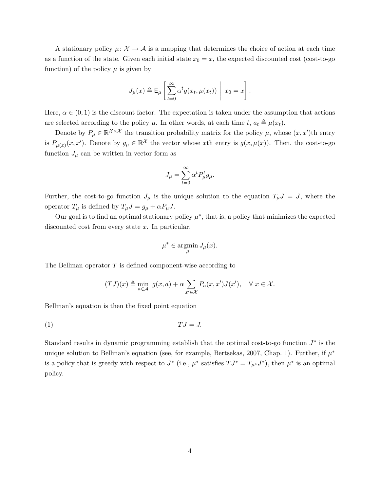A stationary policy  $\mu: \mathcal{X} \to \mathcal{A}$  is a mapping that determines the choice of action at each time as a function of the state. Given each initial state  $x_0 = x$ , the expected discounted cost (cost-to-go function) of the policy  $\mu$  is given by

$$
J_{\mu}(x) \triangleq \mathsf{E}_{\mu} \left[ \sum_{t=0}^{\infty} \alpha^{t} g(x_t, \mu(x_t)) \middle| x_0 = x \right].
$$

Here,  $\alpha \in (0,1)$  is the discount factor. The expectation is taken under the assumption that actions are selected according to the policy  $\mu$ . In other words, at each time  $t, a_t \triangleq \mu(x_t)$ .

Denote by  $P_{\mu} \in \mathbb{R}^{\mathcal{X} \times \mathcal{X}}$  the transition probability matrix for the policy  $\mu$ , whose  $(x, x')$ th entry is  $P_{\mu}(x)(x, x')$ . Denote by  $g_{\mu} \in \mathbb{R}^{\mathcal{X}}$  the vector whose *x*th entry is  $g(x, \mu(x))$ . Then, the cost-to-go function  $J_{\mu}$  can be written in vector form as

$$
J_{\mu} = \sum_{t=0}^{\infty} \alpha^t P_{\mu}^t g_{\mu}.
$$

Further, the cost-to-go function  $J_\mu$  is the unique solution to the equation  $T_\mu J = J$ , where the operator  $T_{\mu}$  is defined by  $T_{\mu}J = g_{\mu} + \alpha P_{\mu}J$ .

Our goal is to find an optimal stationary policy  $\mu^*$ , that is, a policy that minimizes the expected discounted cost from every state *x*. In particular,

$$
\mu^* \in \operatornamewithlimits{argmin}_\mu J_\mu(x).
$$

The Bellman operator *T* is defined component-wise according to

$$
(TJ)(x) \triangleq \min_{a \in \mathcal{A}} g(x, a) + \alpha \sum_{x' \in \mathcal{X}} P_a(x, x') J(x'), \quad \forall \ x \in \mathcal{X}.
$$

Bellman's equation is then the fixed point equation

$$
(1) \t\t TJ = J.
$$

Standard results in dynamic programming establish that the optimal cost-to-go function *J* ∗ is the unique solution to Bellman's equation (see, for example, Bertsekas, 2007, Chap. 1). Further, if *µ* ∗ is a policy that is greedy with respect to  $J^*$  (i.e.,  $\mu^*$  satisfies  $T J^* = T_{\mu^*} J^*$ ), then  $\mu^*$  is an optimal policy.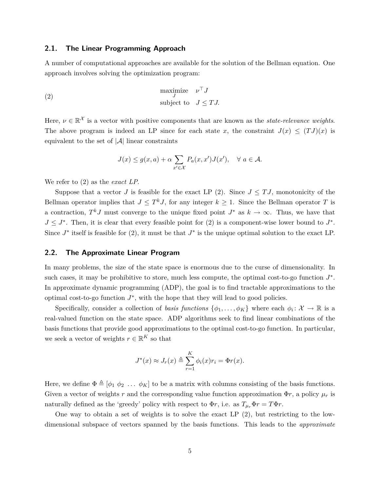#### **2.1. The Linear Programming Approach**

A number of computational approaches are available for the solution of the Bellman equation. One approach involves solving the optimization program:

(2) 
$$
\begin{array}{ll}\n\text{maximize} & \nu^{\top} J \\
\text{subject to} & J \leq T J.\n\end{array}
$$

Here,  $\nu \in \mathbb{R}^{\mathcal{X}}$  is a vector with positive components that are known as the *state-relevance weights*. The above program is indeed an LP since for each state *x*, the constraint  $J(x) \leq (TJ)(x)$  is equivalent to the set of  $|\mathcal{A}|$  linear constraints

$$
J(x) \le g(x, a) + \alpha \sum_{x' \in \mathcal{X}} P_a(x, x') J(x'), \quad \forall \ a \in \mathcal{A}.
$$

We refer to (2) as the *exact LP*.

Suppose that a vector *J* is feasible for the exact LP (2). Since  $J \leq TJ$ , monotonicity of the Bellman operator implies that  $J \leq T^k J$ , for any integer  $k \geq 1$ . Since the Bellman operator *T* is a contraction,  $T^k J$  must converge to the unique fixed point  $J^*$  as  $k \to \infty$ . Thus, we have that  $J \leq J^*$ . Then, it is clear that every feasible point for (2) is a component-wise lower bound to  $J^*$ . Since  $J^*$  itself is feasible for  $(2)$ , it must be that  $J^*$  is the unique optimal solution to the exact LP.

### **2.2. The Approximate Linear Program**

In many problems, the size of the state space is enormous due to the curse of dimensionality. In such cases, it may be prohibitive to store, much less compute, the optimal cost-to-go function  $J^*$ . In approximate dynamic programming (ADP), the goal is to find tractable approximations to the optimal cost-to-go function  $J^*$ , with the hope that they will lead to good policies.

Specifically, consider a collection of *basis functions*  $\{\phi_1, \ldots, \phi_K\}$  where each  $\phi_i \colon \mathcal{X} \to \mathbb{R}$  is a real-valued function on the state space. ADP algorithms seek to find linear combinations of the basis functions that provide good approximations to the optimal cost-to-go function. In particular, we seek a vector of weights  $r \in \mathbb{R}^K$  so that

$$
J^*(x) \approx J_r(x) \triangleq \sum_{r=1}^K \phi_i(x) r_i = \Phi r(x).
$$

Here, we define  $\Phi \triangleq [\phi_1 \phi_2 \dots \phi_K]$  to be a matrix with columns consisting of the basis functions. Given a vector of weights *r* and the corresponding value function approximation  $\Phi r$ , a policy  $\mu_r$  is naturally defined as the 'greedy' policy with respect to  $\Phi r$ , i.e. as  $T_{\mu r} \Phi r = T \Phi r$ .

One way to obtain a set of weights is to solve the exact LP  $(2)$ , but restricting to the lowdimensional subspace of vectors spanned by the basis functions. This leads to the *approximate*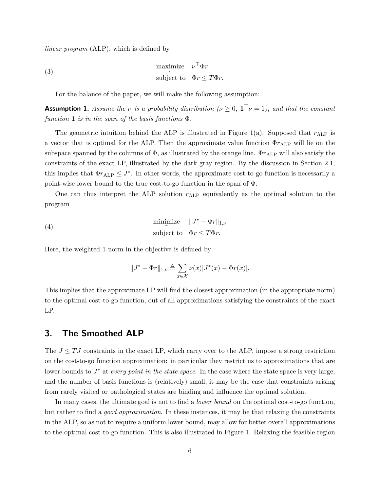*linear program* (ALP), which is defined by

(3) 
$$
\begin{array}{ll}\n\text{maximize} & \nu^\top \Phi r \\
\text{subject to} & \Phi r \le T \Phi r.\n\end{array}
$$

For the balance of the paper, we will make the following assumption:

**Assumption 1.** *Assume the ν is a probability distribution* ( $\nu \geq 0$ ,  $\mathbf{1}^\top \nu = 1$ ), and that the constant *function* **1** *is in the span of the basis functions* Φ*.*

The geometric intuition behind the ALP is illustrated in Figure  $1(a)$ . Supposed that  $r_{\text{ALP}}$  is a vector that is optimal for the ALP. Then the approximate value function Φ*r*ALP will lie on the subspace spanned by the columns of  $\Phi$ , as illustrated by the orange line.  $\Phi r_{\rm ALP}$  will also satisfy the constraints of the exact LP, illustrated by the dark gray region. By the discussion in Section 2.1, this implies that  $\Phi r_{\text{ALP}} \leq J^*$ . In other words, the approximate cost-to-go function is necessarily a point-wise lower bound to the true cost-to-go function in the span of Φ.

One can thus interpret the ALP solution  $r_{ALP}$  equivalently as the optimal solution to the program

(4) 
$$
\begin{array}{ll}\n\text{minimize} & \|J^* - \Phi r\|_{1,\nu} \\
\text{subject to} & \Phi r \le T \Phi r.\n\end{array}
$$

Here, the weighted 1-norm in the objective is defined by

$$
||J^* - \Phi r||_{1,\nu} \triangleq \sum_{x \in \mathcal{X}} \nu(x)|J^*(x) - \Phi r(x)|.
$$

This implies that the approximate LP will find the closest approximation (in the appropriate norm) to the optimal cost-to-go function, out of all approximations satisfying the constraints of the exact LP.

## **3. The Smoothed ALP**

The  $J \leq TJ$  constraints in the exact LP, which carry over to the ALP, impose a strong restriction on the cost-to-go function approximation: in particular they restrict us to approximations that are lower bounds to *J* <sup>∗</sup> at *every point in the state space*. In the case where the state space is very large, and the number of basis functions is (relatively) small, it may be the case that constraints arising from rarely visited or pathological states are binding and influence the optimal solution.

In many cases, the ultimate goal is not to find a *lower bound* on the optimal cost-to-go function, but rather to find a *good approximation*. In these instances, it may be that relaxing the constraints in the ALP, so as not to require a uniform lower bound, may allow for better overall approximations to the optimal cost-to-go function. This is also illustrated in Figure 1. Relaxing the feasible region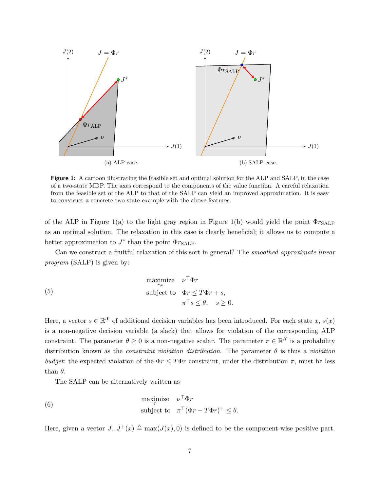

**Figure 1:** A cartoon illustrating the feasible set and optimal solution for the ALP and SALP, in the case of a two-state MDP. The axes correspond to the components of the value function. A careful relaxation from the feasible set of the ALP to that of the SALP can yield an improved approximation. It is easy to construct a concrete two state example with the above features.

of the ALP in Figure 1(a) to the light gray region in Figure 1(b) would yield the point  $\Phi$ <sup>r</sup>SALP as an optimal solution. The relaxation in this case is clearly beneficial; it allows us to compute a better approximation to  $J^*$  than the point  $\Phi r_{\text{SALP}}$ .

Can we construct a fruitful relaxation of this sort in general? The *smoothed approximate linear program* (SALP) is given by:

(5) 
$$
\begin{array}{ll}\n\text{maximize} & \nu^{\top} \Phi r \\
\text{subject to} & \Phi r \le T \Phi r + s, \\
\pi^{\top} s \le \theta, \quad s \ge 0.\n\end{array}
$$

Here, a vector  $s \in \mathbb{R}^{\mathcal{X}}$  of additional decision variables has been introduced. For each state x,  $s(x)$ is a non-negative decision variable (a slack) that allows for violation of the corresponding ALP constraint. The parameter  $\theta \geq 0$  is a non-negative scalar. The parameter  $\pi \in \mathbb{R}^{\mathcal{X}}$  is a probability distribution known as the *constraint violation distribution*. The parameter *θ* is thus a *violation budget*: the expected violation of the  $\Phi r \leq T\Phi r$  constraint, under the distribution  $\pi$ , must be less than *θ*.

The SALP can be alternatively written as

(6) 
$$
\begin{array}{ll}\n\text{maximize} & \nu^\top \Phi r\\
\text{subject to} & \pi^\top (\Phi r - T \Phi r)^+ \leq \theta.\n\end{array}
$$

Here, given a vector *J*,  $J^+(x) \triangleq \max(J(x),0)$  is defined to be the component-wise positive part.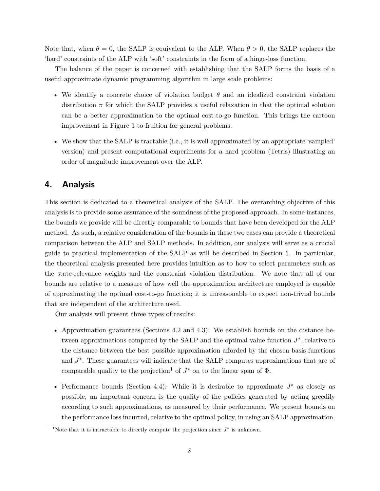Note that, when  $\theta = 0$ , the SALP is equivalent to the ALP. When  $\theta > 0$ , the SALP replaces the 'hard' constraints of the ALP with 'soft' constraints in the form of a hinge-loss function.

The balance of the paper is concerned with establishing that the SALP forms the basis of a useful approximate dynamic programming algorithm in large scale problems:

- We identify a concrete choice of violation budget *θ* and an idealized constraint violation distribution  $\pi$  for which the SALP provides a useful relaxation in that the optimal solution can be a better approximation to the optimal cost-to-go function. This brings the cartoon improvement in Figure 1 to fruition for general problems.
- We show that the SALP is tractable (i.e., it is well approximated by an appropriate 'sampled' version) and present computational experiments for a hard problem (Tetris) illustrating an order of magnitude improvement over the ALP.

## **4. Analysis**

This section is dedicated to a theoretical analysis of the SALP. The overarching objective of this analysis is to provide some assurance of the soundness of the proposed approach. In some instances, the bounds we provide will be directly comparable to bounds that have been developed for the ALP method. As such, a relative consideration of the bounds in these two cases can provide a theoretical comparison between the ALP and SALP methods. In addition, our analysis will serve as a crucial guide to practical implementation of the SALP as will be described in Section 5. In particular, the theoretical analysis presented here provides intuition as to how to select parameters such as the state-relevance weights and the constraint violation distribution. We note that all of our bounds are relative to a measure of how well the approximation architecture employed is capable of approximating the optimal cost-to-go function; it is unreasonable to expect non-trivial bounds that are independent of the architecture used.

Our analysis will present three types of results:

- Approximation guarantees (Sections 4.2 and 4.3): We establish bounds on the distance between approximations computed by the SALP and the optimal value function  $J^*$ , relative to the distance between the best possible approximation afforded by the chosen basis functions and  $J^*$ . These guarantees will indicate that the SALP computes approximations that are of comparable quality to the projection<sup>1</sup> of  $J^*$  on to the linear span of  $\Phi$ .
- Performance bounds (Section 4.4): While it is desirable to approximate *J* <sup>∗</sup> as closely as possible, an important concern is the quality of the policies generated by acting greedily according to such approximations, as measured by their performance. We present bounds on the performance loss incurred, relative to the optimal policy, in using an SALP approximation.

<sup>&</sup>lt;sup>1</sup>Note that it is intractable to directly compute the projection since  $J^*$  is unknown.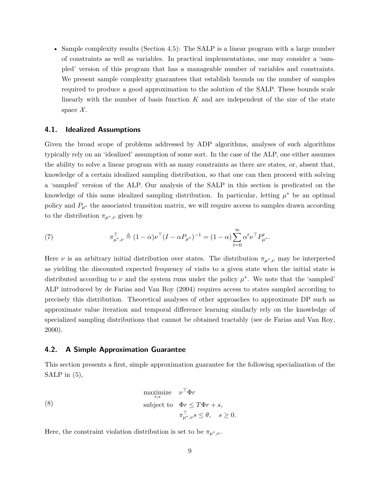• Sample complexity results (Section 4.5): The SALP is a linear program with a large number of constraints as well as variables. In practical implementations, one may consider a 'sampled' version of this program that has a manageable number of variables and constraints. We present sample complexity guarantees that establish bounds on the number of samples required to produce a good approximation to the solution of the SALP. These bounds scale linearly with the number of basis function *K* and are independent of the size of the state space  $\mathcal{X}$ .

#### **4.1. Idealized Assumptions**

Given the broad scope of problems addressed by ADP algorithms, analyses of such algorithms typically rely on an 'idealized' assumption of some sort. In the case of the ALP, one either assumes the ability to solve a linear program with as many constraints as there are states, or, absent that, knowledge of a certain idealized sampling distribution, so that one can then proceed with solving a 'sampled' version of the ALP. Our analysis of the SALP in this section is predicated on the knowledge of this same idealized sampling distribution. In particular, letting  $\mu^*$  be an optimal policy and  $P_{\mu^*}$  the associated transition matrix, we will require access to samples drawn according to the distribution  $\pi_{\mu^*,\nu}$  given by

(7) 
$$
\pi_{\mu^*,\nu}^{\top} \triangleq (1-\alpha)\nu^{\top} (I - \alpha P_{\mu^*})^{-1} = (1-\alpha) \sum_{t=0}^{\infty} \alpha^t \nu^{\top} P_{\mu^*}^t.
$$

Here  $\nu$  is an arbitrary initial distribution over states. The distribution  $\pi_{\mu^*,\nu}$  may be interpreted as yielding the discounted expected frequency of visits to a given state when the initial state is distributed according to  $\nu$  and the system runs under the policy  $\mu^*$ . We note that the 'sampled' ALP introduced by de Farias and Van Roy (2004) requires access to states sampled according to precisely this distribution. Theoretical analyses of other approaches to approximate DP such as approximate value iteration and temporal difference learning similarly rely on the knowledge of specialized sampling distributions that cannot be obtained tractably (see de Farias and Van Roy, 2000).

#### **4.2. A Simple Approximation Guarantee**

This section presents a first, simple approximation guarantee for the following specialization of the SALP in  $(5)$ ,

(8) 
$$
\begin{aligned}\n\max_{r,s} \text{imize} & \nu^{\top} \Phi r \\
\text{subject to} & \Phi r \leq T \Phi r + s, \\
\pi_{\mu^*,\nu}^{\top} s \leq \theta, \quad s \geq 0.\n\end{aligned}
$$

Here, the constraint violation distribution is set to be  $\pi_{\mu^*,\nu}$ .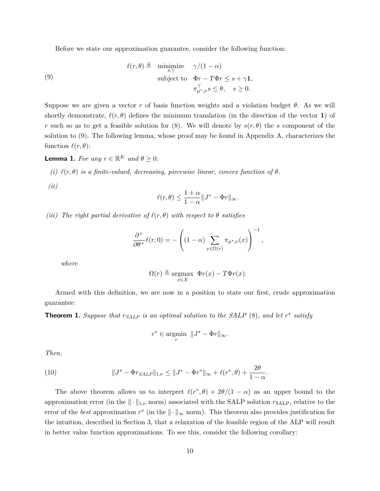Before we state our approximation guarantee, consider the following function:

(9) 
$$
\ell(r,\theta) \triangleq \underset{s,\gamma}{\text{minimize}} \quad \gamma/(1-\alpha)
$$

$$
\text{subject to} \quad \Phi r - T\Phi r \leq s + \gamma \mathbf{1},
$$

$$
\pi_{\mu^*,\nu}^{-s} s \leq \theta, \quad s \geq 0.
$$

Suppose we are given a vector  $r$  of basis function weights and a violation budget  $\theta$ . As we will shortly demonstrate,  $\ell(r, \theta)$  defines the minimum translation (in the direction of the vector **1**) of *r* such so as to get a feasible solution for (8). We will denote by  $s(r, \theta)$  the *s* component of the solution to (9). The following lemma, whose proof may be found in Appendix A, characterizes the function  $\ell(r, \theta)$ :

**Lemma 1.** *For any*  $r \in \mathbb{R}^K$  *and*  $\theta \geq 0$ *:* 

*(i)*  $\ell(r, \theta)$  *is a finite-valued, decreasing, piecewise linear, convex function of*  $\theta$ *.* 

$$
(ii)
$$

$$
\ell(r,\theta) \le \frac{1+\alpha}{1-\alpha} \|J^* - \Phi r\|_{\infty}.
$$

*(iii)* The right partial derivative of  $\ell(r, \theta)$  with respect to  $\theta$  satisfies

$$
\frac{\partial^+}{\partial \theta^+} \ell(r,0) = -\left( (1-\alpha) \sum_{x \in \Omega(r)} \pi_{\mu^*,\nu}(x) \right)^{-1},
$$

*where*

$$
\Omega(r) \triangleq \underset{x \in \mathcal{X}}{\operatorname{argmax}} \ \Phi(r(x) - T\Phi(r(x)).
$$

Armed with this definition, we are now in a position to state our first, crude approximation guarantee:

**Theorem 1.** Suppose that  $r_{SALP}$  is an optimal solution to the SALP (8), and let  $r^*$  satisfy

$$
r^* \in \operatorname*{argmin}_{r} \|J^* - \Phi r\|_{\infty}.
$$

*Then,*

(10) 
$$
||J^* - \Phi r_{SALP}||_{1,\nu} \le ||J^* - \Phi r^*||_{\infty} + \ell(r^*, \theta) + \frac{2\theta}{1-\alpha}.
$$

The above theorem allows us to interpret  $\ell(r^*,\theta) + 2\theta/(1-\alpha)$  as an upper bound to the approximation error (in the  $\|\cdot\|_{1,\nu}$  norm) associated with the SALP solution  $r_{SALP}$ , relative to the error of the *best* approximation  $r^*$  (in the  $\|\cdot\|_{\infty}$  norm). This theorem also provides justification for the intuition, described in Section 3, that a relaxation of the feasible region of the ALP will result in better value function approximations. To see this, consider the following corollary: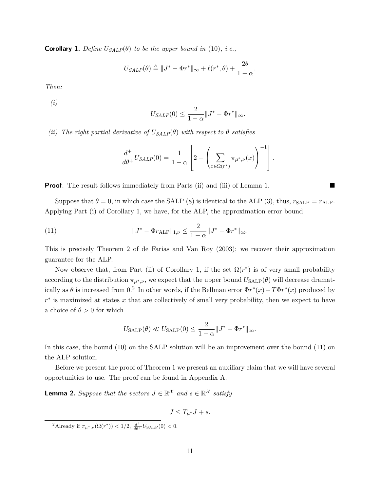**Corollary 1.** Define  $U_{SALP}(\theta)$  to be the upper bound in (10), i.e.,

$$
U_{SALP}(\theta) \triangleq ||J^* - \Phi r^*||_{\infty} + \ell(r^*, \theta) + \frac{2\theta}{1 - \alpha}.
$$

*Then:*

*(i)*

$$
U_{SALP}(0) \leq \frac{2}{1-\alpha} ||J^* - \Phi r^*||_{\infty}.
$$

*(ii)* The right partial derivative of  $U_{SALP}(\theta)$  with respect to  $\theta$  satisfies

$$
\frac{d^+}{d\theta^+}U_{SALP}(0) = \frac{1}{1-\alpha}\left[2-\left(\sum_{x\in\Omega(r^*)}\pi_{\mu^*,\nu}(x)\right)^{-1}\right].
$$

**Proof**. The result follows immediately from Parts (ii) and (iii) of Lemma 1.

Suppose that  $\theta = 0$ , in which case the SALP (8) is identical to the ALP (3), thus,  $r_{SALP} = r_{ALP}$ . Applying Part (i) of Corollary 1, we have, for the ALP, the approximation error bound

(11) 
$$
||J^* - \Phi r_{\text{ALP}}||_{1,\nu} \leq \frac{2}{1-\alpha}||J^* - \Phi r^*||_{\infty}.
$$

This is precisely Theorem 2 of de Farias and Van Roy (2003); we recover their approximation guarantee for the ALP.

Now observe that, from Part (ii) of Corollary 1, if the set  $\Omega(r^*)$  is of very small probability according to the distribution  $\pi_{\mu^*,\nu}$ , we expect that the upper bound  $U_{\text{SALP}}(\theta)$  will decrease dramatically as  $\theta$  is increased from 0.<sup>2</sup> In other words, if the Bellman error  $\Phi r^*(x) - T\Phi r^*(x)$  produced by *r*<sup>∗</sup> is maximized at states *x* that are collectively of small very probability, then we expect to have a choice of  $\theta > 0$  for which

$$
U_{\text{SALP}}(\theta) \ll U_{\text{SALP}}(0) \le \frac{2}{1-\alpha} ||J^* - \Phi r^*||_{\infty}.
$$

In this case, the bound (10) on the SALP solution will be an improvement over the bound (11) on the ALP solution.

Before we present the proof of Theorem 1 we present an auxiliary claim that we will have several opportunities to use. The proof can be found in Appendix A.

**Lemma 2.** Suppose that the vectors  $J \in \mathbb{R}^{\mathcal{X}}$  and  $s \in \mathbb{R}^{\mathcal{X}}$  satisfy

$$
J \le T_{\mu^*} J + s.
$$

<sup>2</sup>Already if  $\pi_{\mu^*,\nu}(\Omega(r^*)) < 1/2$ ,  $\frac{d^+}{d\theta^+}U_{\text{SALP}}(0) < 0$ .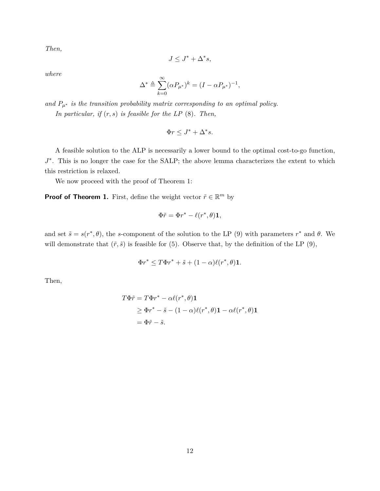*Then,*

$$
J \le J^* + \Delta^* s,
$$

*where*

$$
\Delta^* \triangleq \sum_{k=0}^{\infty} (\alpha P_{\mu^*})^k = (I - \alpha P_{\mu^*})^{-1},
$$

*and*  $P_{\mu^*}$  *is the transition probability matrix corresponding to an optimal policy. In particular, if* (*r, s*) *is feasible for the LP* (8)*. Then,*

$$
\Phi r \le J^* + \Delta^* s.
$$

A feasible solution to the ALP is necessarily a lower bound to the optimal cost-to-go function, *J*<sup>\*</sup>. This is no longer the case for the SALP; the above lemma characterizes the extent to which this restriction is relaxed.

We now proceed with the proof of Theorem 1:

**Proof of Theorem 1.** First, define the weight vector  $\tilde{r} \in \mathbb{R}^m$  by

$$
\Phi \tilde{r} = \Phi r^* - \ell(r^*, \theta) \mathbf{1},
$$

and set  $\tilde{s} = s(r^*, \theta)$ , the *s*-component of the solution to the LP (9) with parameters  $r^*$  and  $\theta$ . We will demonstrate that  $(\tilde{r}, \tilde{s})$  is feasible for (5). Observe that, by the definition of the LP (9),

$$
\Phi r^* \le T\Phi r^* + \tilde{s} + (1-\alpha)\ell(r^*,\theta)\mathbf{1}.
$$

Then,

$$
T\Phi \tilde{r} = T\Phi r^* - \alpha \ell(r^*, \theta) \mathbf{1}
$$
  
\n
$$
\geq \Phi r^* - \tilde{s} - (1 - \alpha) \ell(r^*, \theta) \mathbf{1} - \alpha \ell(r^*, \theta) \mathbf{1}
$$
  
\n
$$
= \Phi \tilde{r} - \tilde{s}.
$$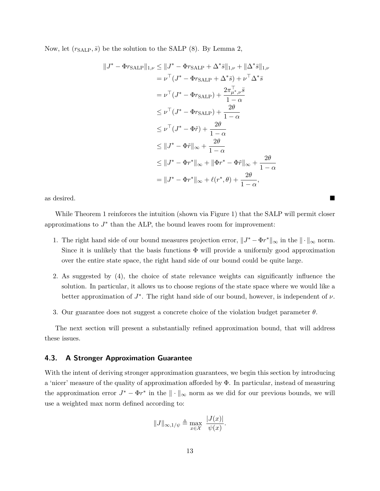Now, let  $(r<sub>SALP</sub>, \bar{s})$  be the solution to the SALP (8). By Lemma 2,

$$
||J^* - \Phi r_{SALP}||_{1,\nu} \le ||J^* - \Phi r_{SALP} + \Delta^* \bar{s}||_{1,\nu} + ||\Delta^* \bar{s}||_{1,\nu}
$$
  
\n
$$
= \nu^\top (J^* - \Phi r_{SALP} + \Delta^* \bar{s}) + \nu^\top \Delta^* \bar{s}
$$
  
\n
$$
= \nu^\top (J^* - \Phi r_{SALP}) + \frac{2\pi_{\mu^*,\nu}^\top \bar{s}}{1 - \alpha}
$$
  
\n
$$
\le \nu^\top (J^* - \Phi r_{SALP}) + \frac{2\theta}{1 - \alpha}
$$
  
\n
$$
\le \nu^\top (J^* - \Phi \tilde{r}) + \frac{2\theta}{1 - \alpha}
$$
  
\n
$$
\le ||J^* - \Phi \tilde{r}||_{\infty} + \frac{2\theta}{1 - \alpha}
$$
  
\n
$$
\le ||J^* - \Phi r^*||_{\infty} + ||\Phi r^* - \Phi \tilde{r}||_{\infty} + \frac{2\theta}{1 - \alpha}
$$
  
\n
$$
= ||J^* - \Phi r^*||_{\infty} + \ell(r^*, \theta) + \frac{2\theta}{1 - \alpha},
$$

as desired.

While Theorem 1 reinforces the intuition (shown via Figure 1) that the SALP will permit closer approximations to  $J^*$  than the ALP, the bound leaves room for improvement:

- 1. The right hand side of our bound measures projection error,  $||J^* \Phi r^*||_{\infty}$  in the  $|| \cdot ||_{\infty}$  norm. Since it is unlikely that the basis functions  $\Phi$  will provide a uniformly good approximation over the entire state space, the right hand side of our bound could be quite large.
- 2. As suggested by (4), the choice of state relevance weights can significantly influence the solution. In particular, it allows us to choose regions of the state space where we would like a better approximation of  $J^*$ . The right hand side of our bound, however, is independent of  $\nu$ .
- 3. Our guarantee does not suggest a concrete choice of the violation budget parameter *θ*.

The next section will present a substantially refined approximation bound, that will address these issues.

### **4.3. A Stronger Approximation Guarantee**

With the intent of deriving stronger approximation guarantees, we begin this section by introducing a 'nicer' measure of the quality of approximation afforded by Φ. In particular, instead of measuring the approximation error  $J^* - \Phi r^*$  in the  $\|\cdot\|_{\infty}$  norm as we did for our previous bounds, we will use a weighted max norm defined according to:

$$
||J||_{\infty,1/\psi} \triangleq \max_{x \in \mathcal{X}} \frac{|J(x)|}{\psi(x)}.
$$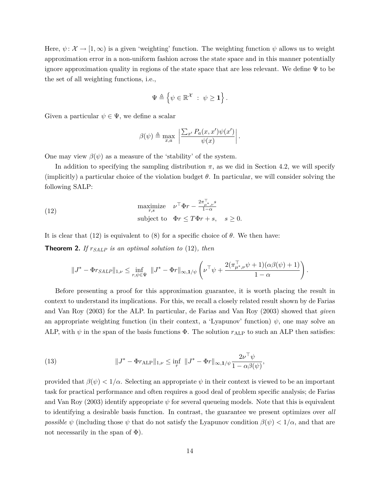Here,  $\psi: \mathcal{X} \to [1,\infty)$  is a given 'weighting' function. The weighting function  $\psi$  allows us to weight approximation error in a non-uniform fashion across the state space and in this manner potentially ignore approximation quality in regions of the state space that are less relevant. We define  $\Psi$  to be the set of all weighting functions, i.e.,

$$
\Psi \triangleq \left\{ \psi \in \mathbb{R}^{\mathcal{X}} \; : \; \psi \geq \mathbf{1} \right\}.
$$

Given a particular  $\psi \in \Psi$ , we define a scalar

$$
\beta(\psi) \triangleq \max_{x,a} \left| \frac{\sum_{x'} P_a(x,x')\psi(x')}{\psi(x)} \right|.
$$

One may view  $\beta(\psi)$  as a measure of the 'stability' of the system.

In addition to specifying the sampling distribution  $\pi$ , as we did in Section 4.2, we will specify (implicitly) a particular choice of the violation budget *θ*. In particular, we will consider solving the following SALP:

(12) 
$$
\begin{array}{ll}\n\text{maximize} & \nu^{\top} \Phi r - \frac{2\pi_{\mu^*,\nu}^{\top} s}{1-\alpha} \\
\text{subject to} & \Phi r \le T\Phi r + s, \quad s \ge 0.\n\end{array}
$$

It is clear that (12) is equivalent to (8) for a specific choice of *θ*. We then have:

**Theorem 2.** *If rSALP is an optimal solution to* (12)*, then*

$$
||J^* - \Phi r_{SALP}||_{1,\nu} \le \inf_{r,\psi \in \Psi} ||J^* - \Phi r||_{\infty,1/\psi} \left( \nu^\top \psi + \frac{2(\pi_{\mu^*,\nu}^\top \psi + 1)(\alpha \beta(\psi) + 1)}{1 - \alpha} \right).
$$

Before presenting a proof for this approximation guarantee, it is worth placing the result in context to understand its implications. For this, we recall a closely related result shown by de Farias and Van Roy (2003) for the ALP. In particular, de Farias and Van Roy (2003) showed that *given* an appropriate weighting function (in their context, a 'Lyapunov' function)  $\psi$ , one may solve an ALP, with  $\psi$  in the span of the basis functions  $\Phi$ . The solution  $r_{\text{ALP}}$  to such an ALP then satisfies:

(13) 
$$
\|J^* - \Phi r_{\text{ALP}}\|_{1,\nu} \le \inf_r \|J^* - \Phi r\|_{\infty, 1/\psi} \frac{2\nu^{\top}\psi}{1 - \alpha\beta(\psi)},
$$

provided that  $\beta(\psi) < 1/\alpha$ . Selecting an appropriate  $\psi$  in their context is viewed to be an important task for practical performance and often requires a good deal of problem specific analysis; de Farias and Van Roy (2003) identify appropriate  $\psi$  for several queueing models. Note that this is equivalent to identifying a desirable basis function. In contrast, the guarantee we present optimizes over *all possible*  $\psi$  (including those  $\psi$  that do not satisfy the Lyapunov condition  $\beta(\psi) < 1/\alpha$ , and that are not necessarily in the span of  $\Phi$ ).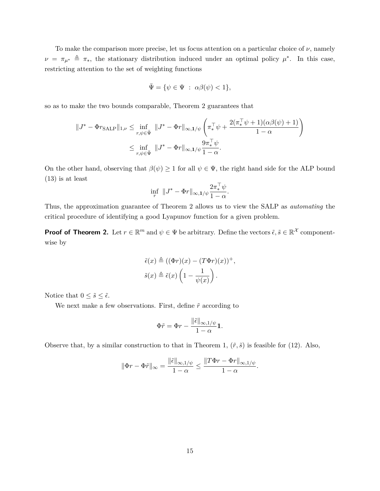To make the comparison more precise, let us focus attention on a particular choice of  $\nu$ , namely  $\nu = \pi_{\mu^*} \triangleq \pi_*$ , the stationary distribution induced under an optimal policy  $\mu^*$ . In this case, restricting attention to the set of weighting functions

$$
\bar{\Psi} = \{ \psi \in \Psi \; : \; \alpha \beta(\psi) < 1 \},
$$

so as to make the two bounds comparable, Theorem 2 guarantees that

$$
\|J^* - \Phi r_{\text{SALP}}\|_{1,\nu} \le \inf_{r,\psi \in \bar{\Psi}} \|J^* - \Phi r\|_{\infty,1/\psi} \left(\pi_*^\top \psi + \frac{2(\pi_*^\top \psi + 1)(\alpha \beta(\psi) + 1)}{1 - \alpha}\right)
$$
  

$$
\le \inf_{r,\psi \in \bar{\Psi}} \|J^* - \Phi r\|_{\infty,1/\psi} \frac{9\pi_*^\top \psi}{1 - \alpha}.
$$

On the other hand, observing that  $\beta(\psi) \geq 1$  for all  $\psi \in \Psi$ , the right hand side for the ALP bound (13) is at least

$$
\inf_{r} \|J^* - \Phi r\|_{\infty, 1/\psi} \frac{2\pi_*^{\top} \psi}{1 - \alpha}.
$$

Thus, the approximation guarantee of Theorem 2 allows us to view the SALP as *automating* the critical procedure of identifying a good Lyapunov function for a given problem.

**Proof of Theorem 2.** Let  $r \in \mathbb{R}^m$  and  $\psi \in \Psi$  be arbitrary. Define the vectors  $\tilde{\epsilon}, \tilde{s} \in \mathbb{R}^{\mathcal{X}}$  componentwise by

$$
\tilde{\epsilon}(x) \triangleq ((\Phi r)(x) - (T\Phi r)(x))^+,
$$
  

$$
\tilde{s}(x) \triangleq \tilde{\epsilon}(x) \left(1 - \frac{1}{\psi(x)}\right).
$$

Notice that  $0 \leq \tilde{s} \leq \tilde{\epsilon}$ .

We next make a few observations. First, define  $\tilde{r}$  according to

$$
\Phi \tilde{r} = \Phi r - \frac{\|\tilde{\epsilon}\|_{\infty,1/\psi}}{1-\alpha} \mathbf{1}.
$$

Observe that, by a similar construction to that in Theorem 1,  $(\tilde{r}, \tilde{s})$  is feasible for (12). Also,

$$
\|\Phi r - \Phi \tilde{r}\|_{\infty} = \frac{\|\tilde{\epsilon}\|_{\infty, 1/\psi}}{1 - \alpha} \le \frac{\|T\Phi r - \Phi r\|_{\infty, 1/\psi}}{1 - \alpha}.
$$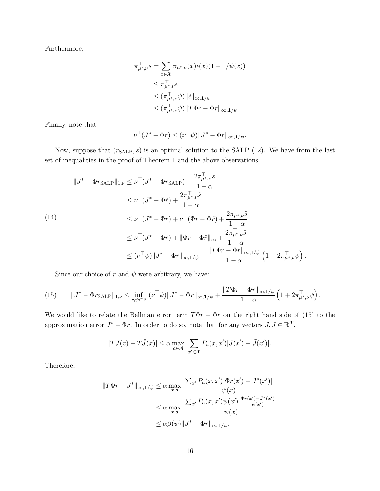Furthermore,

$$
\pi_{\mu^*,\nu}^{\top} \tilde{s} = \sum_{x \in \mathcal{X}} \pi_{\mu^*,\nu}(x) \tilde{\epsilon}(x) (1 - 1/\psi(x))
$$
  
\n
$$
\leq \pi_{\mu^*,\nu}^{\top} \tilde{\epsilon}
$$
  
\n
$$
\leq (\pi_{\mu^*,\nu}^{\top}\psi) \|\tilde{\epsilon}\|_{\infty,1/\psi}
$$
  
\n
$$
\leq (\pi_{\mu^*,\nu}^{\top}\psi) \|T\Phi r - \Phi r\|_{\infty,1/\psi}.
$$

Finally, note that

$$
\nu^{\top} (J^* - \Phi r) \leq (\nu^{\top} \psi) \| J^* - \Phi r \|_{\infty, 1/\psi}.
$$

Now, suppose that  $(r<sub>SALP</sub>, \bar{s})$  is an optimal solution to the SALP (12). We have from the last set of inequalities in the proof of Theorem 1 and the above observations,

$$
\|J^* - \Phi r_{\text{SALP}}\|_{1,\nu} \leq \nu^{\top} (J^* - \Phi r_{\text{SALP}}) + \frac{2\pi_{\mu^*,\nu}^{\top} \bar{s}}{1 - \alpha}
$$
  
\n
$$
\leq \nu^{\top} (J^* - \Phi \tilde{r}) + \frac{2\pi_{\mu^*,\nu}^{\top} \tilde{s}}{1 - \alpha}
$$
  
\n(14)  
\n
$$
\leq \nu^{\top} (J^* - \Phi r) + \nu^{\top} (\Phi r - \Phi \tilde{r}) + \frac{2\pi_{\mu^*,\nu}^{\top} \tilde{s}}{1 - \alpha}
$$
  
\n
$$
\leq \nu^{\top} (J^* - \Phi r) + \|\Phi r - \Phi \tilde{r}\|_{\infty} + \frac{2\pi_{\mu^*,\nu}^{\top} \tilde{s}}{1 - \alpha}
$$
  
\n
$$
\leq (\nu^{\top} \psi) \|J^* - \Phi r\|_{\infty,1/\psi} + \frac{\|T\Phi r - \Phi r\|_{\infty,1/\psi}}{1 - \alpha} \left(1 + 2\pi_{\mu^*,\nu}^{\top} \psi\right).
$$

Since our choice of  $r$  and  $\psi$  were arbitrary, we have:

(15) 
$$
||J^* - \Phi r_{\text{SALP}}||_{1,\nu} \le \inf_{r,\psi \in \Psi} (\nu^\top \psi) ||J^* - \Phi r||_{\infty,1/\psi} + \frac{||T\Phi r - \Phi r||_{\infty,1/\psi}}{1-\alpha} (1 + 2\pi_{\mu^*,\nu}^\top \psi).
$$

We would like to relate the Bellman error term  $T\Phi r - \Phi r$  on the right hand side of (15) to the approximation error  $J^* - \Phi r$ . In order to do so, note that for any vectors  $J, \bar{J} \in \mathbb{R}^{\mathcal{X}},$ 

$$
|TJ(x) - T\bar{J}(x)| \leq \alpha \max_{a \in \mathcal{A}} \sum_{x' \in \mathcal{X}} P_a(x, x') |J(x') - \bar{J}(x')|.
$$

Therefore,

$$
||T\Phi r - J^*||_{\infty,1/\psi} \le \alpha \max_{x,a} \frac{\sum_{x'} P_a(x,x')|\Phi r(x') - J^*(x')|}{\psi(x)} \n\le \alpha \max_{x,a} \frac{\sum_{x'} P_a(x,x')\psi(x')\frac{|\Phi r(x') - J^*(x')|}{\psi(x')}}{\psi(x)} \n\le \alpha \beta(\psi) ||J^* - \Phi r||_{\infty,1/\psi}.
$$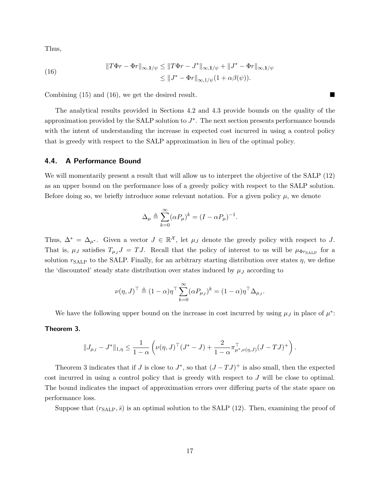Thus,

(16) 
$$
||T\Phi r - \Phi r||_{\infty, 1/\psi} \le ||T\Phi r - J^*||_{\infty, 1/\psi} + ||J^* - \Phi r||_{\infty, 1/\psi} \le ||J^* - \Phi r||_{\infty, 1/\psi}(1 + \alpha\beta(\psi)).
$$

Combining (15) and (16), we get the desired result.

The analytical results provided in Sections 4.2 and 4.3 provide bounds on the quality of the approximation provided by the SALP solution to  $J^*$ . The next section presents performance bounds with the intent of understanding the increase in expected cost incurred in using a control policy that is greedy with respect to the SALP approximation in lieu of the optimal policy.

#### **4.4. A Performance Bound**

We will momentarily present a result that will allow us to interpret the objective of the SALP (12) as an upper bound on the performance loss of a greedy policy with respect to the SALP solution. Before doing so, we briefly introduce some relevant notation. For a given policy  $\mu$ , we denote

$$
\Delta_{\mu} \triangleq \sum_{k=0}^{\infty} (\alpha P_{\mu})^{k} = (I - \alpha P_{\mu})^{-1}.
$$

Thus,  $\Delta^* = \Delta_{\mu^*}$ . Given a vector  $J \in \mathbb{R}^{\mathcal{X}}$ , let  $\mu_J$  denote the greedy policy with respect to *J*. That is,  $\mu_J$  satisfies  $T_{\mu_J}J = TJ$ . Recall that the policy of interest to us will be  $\mu_{\Phi_{rSALP}}$  for a solution  $r_{SALP}$  to the SALP. Finally, for an arbitrary starting distribution over states  $\eta$ , we define the 'discounted' steady state distribution over states induced by  $\mu_J$  according to

$$
\nu(\eta, J)^\top \triangleq (1 - \alpha)\eta^\top \sum_{k=0}^{\infty} (\alpha P_{\mu J})^k = (1 - \alpha)\eta^\top \Delta_{\mu J}.
$$

We have the following upper bound on the increase in cost incurred by using  $\mu_J$  in place of  $\mu^*$ :

#### **Theorem 3.**

$$
||J_{\mu_J} - J^*||_{1,\eta} \le \frac{1}{1-\alpha} \left( \nu(\eta, J)^\top (J^* - J) + \frac{2}{1-\alpha} \pi_{\mu^*, \nu(\eta, J)}^\top (J - TJ)^+ \right).
$$

Theorem 3 indicates that if *J* is close to  $J^*$ , so that  $(J-TJ)^+$  is also small, then the expected cost incurred in using a control policy that is greedy with respect to *J* will be close to optimal. The bound indicates the impact of approximation errors over differing parts of the state space on performance loss.

Suppose that  $(r_{\text{SALP}}, \bar{s})$  is an optimal solution to the SALP (12). Then, examining the proof of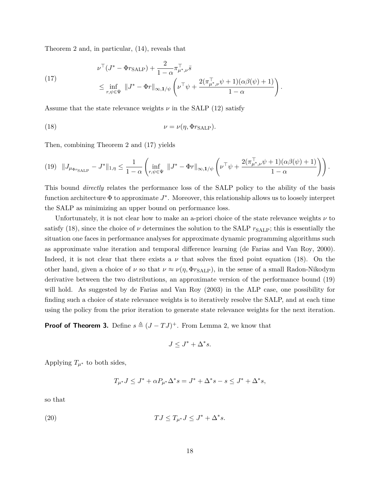Theorem 2 and, in particular, (14), reveals that

(17)  
\n
$$
\nu^{\top} (J^* - \Phi r_{\text{SALP}}) + \frac{2}{1 - \alpha} \pi^{\top}_{\mu^*, \nu} \bar{s}
$$
\n
$$
\leq \inf_{r, \psi \in \Psi} \|J^* - \Phi r\|_{\infty, 1/\psi} \left( \nu^{\top} \psi + \frac{2(\pi^{\top}_{\mu^*, \nu} \psi + 1)(\alpha \beta(\psi) + 1)}{1 - \alpha} \right).
$$

Assume that the state relevance weights  $\nu$  in the SALP (12) satisfy

(18) 
$$
\nu = \nu(\eta, \Phi r_{\text{SALP}}).
$$

Then, combining Theorem 2 and (17) yields

$$
(19)\quad \Vert J_{\mu_{\Phi_{r_{\mathrm{SALP}}}}}-J^*\Vert_{1,\eta}\leq \frac{1}{1-\alpha}\left(\inf_{r,\psi\in\Psi}\; \Vert J^*-\Phi r\Vert_{\infty,1/\psi}\left(\nu^\top\psi+\frac{2(\pi^\top_{\mu^*,\nu}\psi+1)(\alpha\beta(\psi)+1)}{1-\alpha}\right)\right).
$$

This bound *directly* relates the performance loss of the SALP policy to the ability of the basis function architecture Φ to approximate *J* ∗ . Moreover, this relationship allows us to loosely interpret the SALP as minimizing an upper bound on performance loss.

Unfortunately, it is not clear how to make an a-priori choice of the state relevance weights  $\nu$  to satisfy (18), since the choice of  $\nu$  determines the solution to the SALP  $r_{SALP}$ ; this is essentially the situation one faces in performance analyses for approximate dynamic programming algorithms such as approximate value iteration and temporal difference learning (de Farias and Van Roy, 2000). Indeed, it is not clear that there exists a  $\nu$  that solves the fixed point equation (18). On the other hand, given a choice of  $\nu$  so that  $\nu \approx \nu(\eta, \Phi r_{SALP})$ , in the sense of a small Radon-Nikodym derivative between the two distributions, an approximate version of the performance bound (19) will hold. As suggested by de Farias and Van Roy (2003) in the ALP case, one possibility for finding such a choice of state relevance weights is to iteratively resolve the SALP, and at each time using the policy from the prior iteration to generate state relevance weights for the next iteration.

**Proof of Theorem 3.** Define  $s \triangleq (J - TJ)^+$ . From Lemma 2, we know that

$$
J \leq J^* + \Delta^* s.
$$

Applying  $T_{\mu^*}$  to both sides,

$$
T_{\mu^*}J \le J^* + \alpha P_{\mu^*} \Delta^* s = J^* + \Delta^* s - s \le J^* + \Delta^* s,
$$

so that

(20) 
$$
TJ \leq T_{\mu^*}J \leq J^* + \Delta^*s.
$$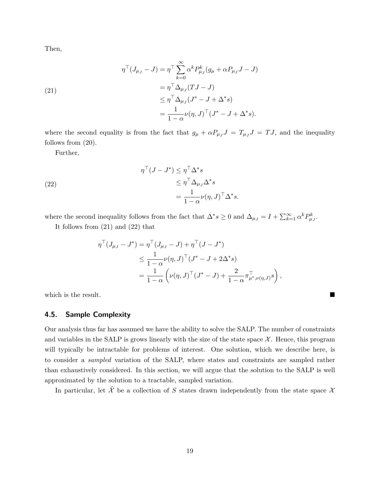Then,

(21)  
\n
$$
\eta^{\top} (J_{\mu_J} - J) = \eta^{\top} \sum_{k=0}^{\infty} \alpha^k P_{\mu_J}^k (g_{\mu} + \alpha P_{\mu_J} J - J)
$$
\n
$$
= \eta^{\top} \Delta_{\mu_J} (T J - J)
$$
\n
$$
\leq \eta^{\top} \Delta_{\mu_J} (J^* - J + \Delta^* s)
$$
\n
$$
= \frac{1}{1 - \alpha} \nu(\eta, J)^{\top} (J^* - J + \Delta^* s).
$$

where the second equality is from the fact that  $g_{\mu} + \alpha P_{\mu}J = T_{\mu}J = TJ$ , and the inequality follows from (20).

Further,

(22)  
\n
$$
\eta^{\top} (J - J^*) \leq \eta^{\top} \Delta^* s
$$
\n
$$
\leq \eta^{\top} \Delta_{\mu_J} \Delta^* s
$$
\n
$$
= \frac{1}{1 - \alpha} \nu(\eta, J)^{\top} \Delta^* s.
$$

where the second inequality follows from the fact that  $\Delta^* s \geq 0$  and  $\Delta_{\mu_J} = I + \sum_{k=1}^{\infty} \alpha^k P_{\mu_J}^k$ .

It follows from (21) and (22) that

$$
\eta^{\top} (J_{\mu J} - J^*) = \eta^{\top} (J_{\mu J} - J) + \eta^{\top} (J - J^*)
$$
  
\n
$$
\leq \frac{1}{1 - \alpha} \nu(\eta, J)^{\top} (J^* - J + 2\Delta^* s)
$$
  
\n
$$
= \frac{1}{1 - \alpha} \left( \nu(\eta, J)^{\top} (J^* - J) + \frac{2}{1 - \alpha} \pi_{\mu^*, \nu(\eta, J)}^{-1} s \right),
$$

which is the result.

#### **4.5. Sample Complexity**

Our analysis thus far has assumed we have the ability to solve the SALP. The number of constraints and variables in the SALP is grows linearly with the size of the state space  $\mathcal{X}$ . Hence, this program will typically be intractable for problems of interest. One solution, which we describe here, is to consider a *sampled* variation of the SALP, where states and constraints are sampled rather than exhaustively considered. In this section, we will argue that the solution to the SALP is well approximated by the solution to a tractable, sampled variation.

In particular, let  $\hat{\mathcal{X}}$  be a collection of *S* states drawn independently from the state space  $\mathcal{X}$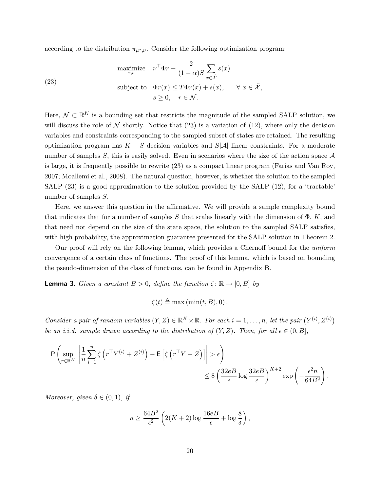according to the distribution  $\pi_{\mu^*,\nu}$ . Consider the following optimization program:

(23) maximize  $\nu^\top \Phi r - \frac{2}{(1 - \mu)^2}$  $(1 - \alpha)S$  $\sum$ *x*∈Xˆ *s*(*x*) subject to  $\Phi r(x) \leq T \Phi r(x) + s(x), \quad \forall x \in \hat{\mathcal{X}},$  $s \geq 0$ ,  $r \in \mathcal{N}$ .

Here,  $\mathcal{N} \subset \mathbb{R}^K$  is a bounding set that restricts the magnitude of the sampled SALP solution, we will discuss the role of  $N$  shortly. Notice that (23) is a variation of (12), where only the decision variables and constraints corresponding to the sampled subset of states are retained. The resulting optimization program has  $K + S$  decision variables and  $S|\mathcal{A}|$  linear constraints. For a moderate number of samples  $S$ , this is easily solved. Even in scenarios where the size of the action space  $A$ is large, it is frequently possible to rewrite (23) as a compact linear program (Farias and Van Roy, 2007; Moallemi et al., 2008). The natural question, however, is whether the solution to the sampled SALP (23) is a good approximation to the solution provided by the SALP (12), for a 'tractable' number of samples *S*.

Here, we answer this question in the affirmative. We will provide a sample complexity bound that indicates that for a number of samples *S* that scales linearly with the dimension of  $\Phi$ , *K*, and that need not depend on the size of the state space, the solution to the sampled SALP satisfies, with high probability, the approximation guarantee presented for the SALP solution in Theorem 2.

Our proof will rely on the following lemma, which provides a Chernoff bound for the *uniform* convergence of a certain class of functions. The proof of this lemma, which is based on bounding the pseudo-dimension of the class of functions, can be found in Appendix B.

**Lemma 3.** *Given a constant*  $B > 0$ *, define the function*  $\zeta : \mathbb{R} \to [0, B]$  *by* 

$$
\zeta(t) \triangleq \max(\min(t, B), 0).
$$

*Consider a pair of random variables*  $(Y, Z) \in \mathbb{R}^K \times \mathbb{R}$ *. For each*  $i = 1, \ldots, n$ *, let the pair*  $(Y^{(i)}, Z^{(i)})$ *be an i.i.d. sample drawn according to the distribution of*  $(Y, Z)$ *. Then, for all*  $\epsilon \in (0, B]$ *,* 

$$
\begin{split} \mathsf{P}&\left(\sup_{r\in\mathbb{R}^K}\ \left|\frac{1}{n}\sum_{i=1}^n\zeta\left(r^\top Y^{(i)}+Z^{(i)}\right)-\mathsf{E}\left[\zeta\left(r^\top Y+Z\right)\right]\right|>\epsilon\right) \\ &\leq 8\left(\frac{32eB}{\epsilon}\log\frac{32eB}{\epsilon}\right)^{K+2}\exp\left(-\frac{\epsilon^2n}{64B^2}\right). \end{split}
$$

*Moreover, given*  $\delta \in (0,1)$ *, if* 

$$
n \ge \frac{64B^2}{\epsilon^2} \left( 2(K+2) \log \frac{16eB}{\epsilon} + \log \frac{8}{\delta} \right),
$$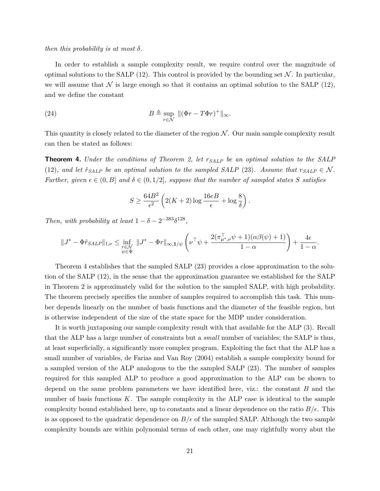#### *then this probability is at most*  $\delta$ .

In order to establish a sample complexity result, we require control over the magnitude of optimal solutions to the SALP (12). This control is provided by the bounding set  $\mathcal N$ . In particular, we will assume that  $\mathcal N$  is large enough so that it contains an optimal solution to the SALP (12), and we define the constant

(24) 
$$
B \triangleq \sup_{r \in \mathcal{N}} ||(\Phi r - T\Phi r)^{+}||_{\infty}.
$$

This quantity is closely related to the diameter of the region  $\mathcal N$ . Our main sample complexity result can then be stated as follows:

**Theorem 4.** *Under the conditions of Theorem 2, let rSALP be an optimal solution to the SALP* (12)*, and let*  $\hat{r}_{SALP}$  *be an optimal solution to the sampled SALP* (23)*. Assume that*  $r_{SALP} \in \mathcal{N}$ *. Further, given*  $\epsilon \in (0, B]$  *and*  $\delta \in (0, 1/2]$ *, suppose that the number of sampled states S satisfies* 

$$
S \ge \frac{64B^2}{\epsilon^2} \left( 2(K+2) \log \frac{16eB}{\epsilon} + \log \frac{8}{\delta} \right).
$$

*Then, with probability at least*  $1 - \delta - 2^{-383} \delta^{128}$ ,

$$
||J^* - \Phi \hat{r}_{SALP}||_{1,\nu} \le \inf_{\substack{r \in \mathcal{N} \\ \psi \in \Psi}} ||J^* - \Phi r||_{\infty,1/\psi} \left( \nu^\top \psi + \frac{2(\pi_{\mu^*,\nu}^\top \psi + 1)(\alpha \beta(\psi) + 1)}{1 - \alpha} \right) + \frac{4\epsilon}{1 - \alpha}.
$$

Theorem 4 establishes that the sampled SALP (23) provides a close approximation to the solution of the SALP (12), in the sense that the approximation guarantee we established for the SALP in Theorem 2 is approximately valid for the solution to the sampled SALP, with high probability. The theorem precisely specifies the number of samples required to accomplish this task. This number depends linearly on the number of basis functions and the diameter of the feasible region, but is otherwise independent of the size of the state space for the MDP under consideration.

It is worth juxtaposing our sample complexity result with that available for the ALP (3). Recall that the ALP has a large number of constraints but a *small* number of variables; the SALP is thus, at least superficially, a significantly more complex program. Exploiting the fact that the ALP has a small number of variables, de Farias and Van Roy (2004) establish a sample complexity bound for a sampled version of the ALP analogous to the the sampled SALP (23). The number of samples required for this sampled ALP to produce a good approximation to the ALP can be shown to depend on the same problem parameters we have identified here, viz.: the constant *B* and the number of basis functions *K*. The sample complexity in the ALP case is identical to the sample complexity bound established here, up to constants and a linear dependence on the ratio  $B/\epsilon$ . This is as opposed to the quadratic dependence on  $B/\epsilon$  of the sampled SALP. Although the two sample complexity bounds are within polynomial terms of each other, one may rightfully worry abut the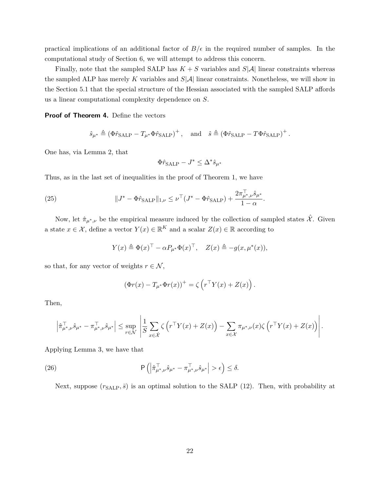practical implications of an additional factor of  $B/\epsilon$  in the required number of samples. In the computational study of Section 6, we will attempt to address this concern.

Finally, note that the sampled SALP has  $K + S$  variables and  $S|\mathcal{A}|$  linear constraints whereas the sampled ALP has merely *K* variables and  $S|\mathcal{A}|$  linear constraints. Nonetheless, we will show in the Section 5.1 that the special structure of the Hessian associated with the sampled SALP affords us a linear computational complexity dependence on *S*.

**Proof of Theorem 4.** Define the vectors

$$
\hat{s}_{\mu^*} \triangleq (\Phi \hat{r}_{SALP} - T_{\mu^*} \Phi \hat{r}_{SALP})^+, \text{ and } \hat{s} \triangleq (\Phi \hat{r}_{SALP} - T \Phi \hat{r}_{SALP})^+.
$$

One has, via Lemma 2, that

$$
\Phi\hat{r}_{\text{SALP}} - J^* \le \Delta^*\hat{s}_{\mu^*}
$$

Thus, as in the last set of inequalities in the proof of Theorem 1, we have

(25) 
$$
||J^* - \Phi \hat{r}_{\text{SALP}}||_{1,\nu} \leq \nu^\top (J^* - \Phi \hat{r}_{\text{SALP}}) + \frac{2\pi_{\mu^*,\nu}^\top \hat{s}_{\mu^*}}{1-\alpha}.
$$

Now, let  $\hat{\pi}_{\mu^*,\nu}$  be the empirical measure induced by the collection of sampled states  $\hat{\mathcal{X}}$ . Given a state  $x \in \mathcal{X}$ , define a vector  $Y(x) \in \mathbb{R}^K$  and a scalar  $Z(x) \in \mathbb{R}$  according to

$$
Y(x) \triangleq \Phi(x)^\top - \alpha P_{\mu^*} \Phi(x)^\top, \quad Z(x) \triangleq -g(x, \mu^*(x)),
$$

so that, for any vector of weights  $r \in \mathcal{N}$ ,

$$
(\Phi r(x) - T_{\mu^*} \Phi r(x))^+ = \zeta \left( r^\top Y(x) + Z(x) \right).
$$

Then,

$$
\left|\hat{\pi}_{\mu^*,\nu}^{\top}\hat{s}_{\mu^*} - \pi_{\mu^*,\nu}^{\top}\hat{s}_{\mu^*}\right| \leq \sup_{r \in \mathcal{N}} \left|\frac{1}{S} \sum_{x \in \hat{\mathcal{X}}} \zeta\left(r^{\top}Y(x) + Z(x)\right) - \sum_{x \in \mathcal{X}} \pi_{\mu^*,\nu}(x)\zeta\left(r^{\top}Y(x) + Z(x)\right)\right|.
$$

Applying Lemma 3, we have that

(26) 
$$
\mathsf{P}\left(\left|\hat{\pi}_{\mu^*,\nu}^{\top}\hat{s}_{\mu^*}-\pi_{\mu^*,\nu}^{\top}\hat{s}_{\mu^*}\right|>\epsilon\right)\leq\delta.
$$

Next, suppose  $(r<sub>SALP</sub>, \bar{s})$  is an optimal solution to the SALP (12). Then, with probability at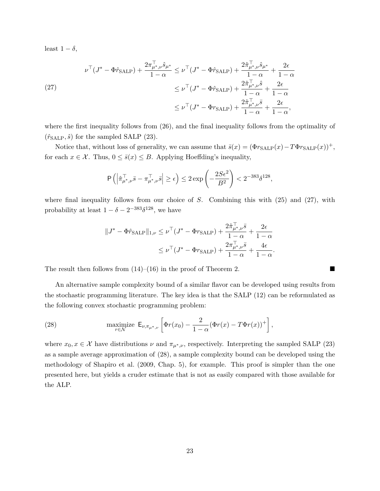least  $1 - \delta$ ,

(27)  

$$
\nu^{\top} (J^* - \Phi \hat{r}_{\text{SALP}}) + \frac{2\pi_{\mu^*,\nu}^{\top} \hat{s}_{\mu^*}}{1-\alpha} \leq \nu^{\top} (J^* - \Phi \hat{r}_{\text{SALP}}) + \frac{2\hat{\pi}_{\mu^*,\nu}^{\top} \hat{s}_{\mu^*}}{1-\alpha} + \frac{2\epsilon}{1-\alpha}
$$

$$
\leq \nu^{\top} (J^* - \Phi \hat{r}_{\text{SALP}}) + \frac{2\hat{\pi}_{\mu^*,\nu}^{\top} \hat{s}}{1-\alpha} + \frac{2\epsilon}{1-\alpha}
$$

$$
\leq \nu^{\top} (J^* - \Phi r_{\text{SALP}}) + \frac{2\hat{\pi}_{\mu^*,\nu}^{\top} \bar{s}}{1-\alpha} + \frac{2\epsilon}{1-\alpha},
$$

where the first inequality follows from (26), and the final inequality follows from the optimality of  $(\hat{r}_{SALP}, \hat{s})$  for the sampled SALP (23).

Notice that, without loss of generality, we can assume that  $\bar{s}(x) = (\Phi r_{SALP}(x) - T\Phi r_{SALP}(x))^+,$ for each  $x \in \mathcal{X}$ . Thus,  $0 \leq \bar{s}(x) \leq B$ . Applying Hoeffding's inequality,

$$
\mathsf{P}\left(\left|\hat{\pi}_{\mu^*,\nu}^{\top}\bar{s} - \pi_{\mu^*,\nu}^{\top}\bar{s}\right| \geq \epsilon\right) \leq 2\exp\left(-\frac{2S\epsilon^2}{B^2}\right) < 2^{-383}\delta^{128},
$$

where final inequality follows from our choice of *S*. Combining this with (25) and (27), with probability at least  $1 - \delta - 2^{-383} \delta^{128}$ , we have

$$
\|J^* - \Phi \hat{r}_{\text{SALP}}\|_{1,\nu} \leq \nu^\top (J^* - \Phi r_{\text{SALP}}) + \frac{2\hat{\pi}_{\mu^*,\nu}^\top \bar{s}}{1 - \alpha} + \frac{2\epsilon}{1 - \alpha}
$$

$$
\leq \nu^\top (J^* - \Phi r_{\text{SALP}}) + \frac{2\pi_{\mu^*,\nu}^\top \bar{s}}{1 - \alpha} + \frac{4\epsilon}{1 - \alpha}.
$$

The result then follows from  $(14)$ – $(16)$  in the proof of Theorem 2.

An alternative sample complexity bound of a similar flavor can be developed using results from the stochastic programming literature. The key idea is that the SALP (12) can be reformulated as the following convex stochastic programming problem:

(28) 
$$
\underset{r \in \mathcal{N}}{\operatorname{maximize}} \mathsf{E}_{\nu, \pi_{\mu^*, \nu}} \left[ \Phi r(x_0) - \frac{2}{1 - \alpha} (\Phi r(x) - T \Phi r(x))^+ \right],
$$

where  $x_0, x \in \mathcal{X}$  have distributions  $\nu$  and  $\pi_{\mu^*,\nu}$ , respectively. Interpreting the sampled SALP (23) as a sample average approximation of (28), a sample complexity bound can be developed using the methodology of Shapiro et al. (2009, Chap. 5), for example. This proof is simpler than the one presented here, but yields a cruder estimate that is not as easily compared with those available for the ALP.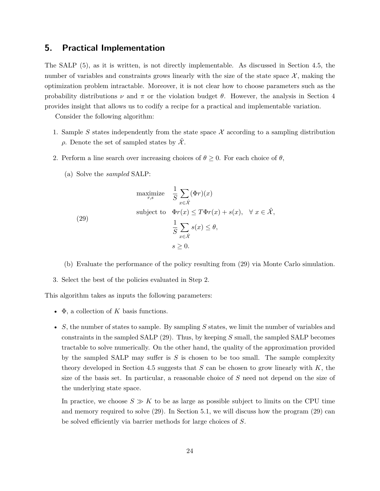## **5. Practical Implementation**

The SALP (5), as it is written, is not directly implementable. As discussed in Section 4.5, the number of variables and constraints grows linearly with the size of the state space  $\mathcal{X}$ , making the optimization problem intractable. Moreover, it is not clear how to choose parameters such as the probability distributions  $\nu$  and  $\pi$  or the violation budget  $\theta$ . However, the analysis in Section 4 provides insight that allows us to codify a recipe for a practical and implementable variation.

Consider the following algorithm:

- 1. Sample *S* states independently from the state space  $\mathcal X$  according to a sampling distribution *ρ*. Denote the set of sampled states by  $\hat{\mathcal{X}}$ .
- 2. Perform a line search over increasing choices of  $\theta \geq 0$ . For each choice of  $\theta$ ,
	- (a) Solve the *sampled* SALP:

maximize

\n
$$
\frac{1}{S} \sum_{x \in \hat{X}} (\Phi r)(x)
$$
\nsubject to

\n
$$
\Phi r(x) \leq T \Phi r(x) + s(x), \quad \forall x \in \hat{X},
$$
\n
$$
\frac{1}{S} \sum_{x \in \hat{X}} s(x) \leq \theta,
$$
\n
$$
s \geq 0.
$$

- (b) Evaluate the performance of the policy resulting from (29) via Monte Carlo simulation.
- 3. Select the best of the policies evaluated in Step 2.

This algorithm takes as inputs the following parameters:

- Φ, a collection of *K* basis functions.
- *S*, the number of states to sample. By sampling *S* states, we limit the number of variables and constraints in the sampled SALP (29). Thus, by keeping *S* small, the sampled SALP becomes tractable to solve numerically. On the other hand, the quality of the approximation provided by the sampled SALP may suffer is *S* is chosen to be too small. The sample complexity theory developed in Section 4.5 suggests that *S* can be chosen to grow linearly with *K*, the size of the basis set. In particular, a reasonable choice of *S* need not depend on the size of the underlying state space.

In practice, we choose  $S \gg K$  to be as large as possible subject to limits on the CPU time and memory required to solve (29). In Section 5.1, we will discuss how the program (29) can be solved efficiently via barrier methods for large choices of *S*.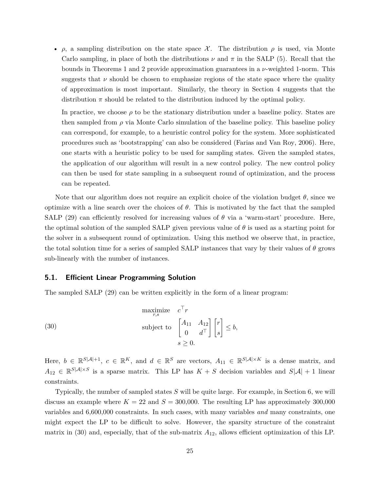• *ρ*, a sampling distribution on the state space X. The distribution *ρ* is used, via Monte Carlo sampling, in place of both the distributions  $\nu$  and  $\pi$  in the SALP (5). Recall that the bounds in Theorems 1 and 2 provide approximation guarantees in a *ν*-weighted 1-norm. This suggests that  $\nu$  should be chosen to emphasize regions of the state space where the quality of approximation is most important. Similarly, the theory in Section 4 suggests that the distribution  $\pi$  should be related to the distribution induced by the optimal policy.

In practice, we choose  $\rho$  to be the stationary distribution under a baseline policy. States are then sampled from  $\rho$  via Monte Carlo simulation of the baseline policy. This baseline policy can correspond, for example, to a heuristic control policy for the system. More sophisticated procedures such as 'bootstrapping' can also be considered (Farias and Van Roy, 2006). Here, one starts with a heuristic policy to be used for sampling states. Given the sampled states, the application of our algorithm will result in a new control policy. The new control policy can then be used for state sampling in a subsequent round of optimization, and the process can be repeated.

Note that our algorithm does not require an explicit choice of the violation budget  $\theta$ , since we optimize with a line search over the choices of  $\theta$ . This is motivated by the fact that the sampled SALP (29) can efficiently resolved for increasing values of  $\theta$  via a 'warm-start' procedure. Here, the optimal solution of the sampled SALP given previous value of *θ* is used as a starting point for the solver in a subsequent round of optimization. Using this method we observe that, in practice, the total solution time for a series of sampled SALP instances that vary by their values of *θ* grows sub-linearly with the number of instances.

#### **5.1. Efficient Linear Programming Solution**

The sampled SALP (29) can be written explicitly in the form of a linear program:

(30) 
$$
\begin{aligned}\n\text{maximize} & \quad c^{\top} r \\
\text{subject to} & \quad \begin{bmatrix} A_{11} & A_{12} \\ 0 & d^{\top} \end{bmatrix} \begin{bmatrix} r \\ s \end{bmatrix} \leq b, \\
s \geq 0.\n\end{aligned}
$$

Here,  $b \in \mathbb{R}^{S|\mathcal{A}|+1}$ ,  $c \in \mathbb{R}^{K}$ , and  $d \in \mathbb{R}^{S}$  are vectors,  $A_{11} \in \mathbb{R}^{S|\mathcal{A}| \times K}$  is a dense matrix, and  $A_{12} \in \mathbb{R}^{S|\mathcal{A}| \times S}$  is a sparse matrix. This LP has  $K + S$  decision variables and  $S|\mathcal{A}| + 1$  linear constraints.

Typically, the number of sampled states *S* will be quite large. For example, in Section 6, we will discuss an example where  $K = 22$  and  $S = 300,000$ . The resulting LP has approximately 300,000 variables and 6*,*600*,*000 constraints. In such cases, with many variables *and* many constraints, one might expect the LP to be difficult to solve. However, the sparsity structure of the constraint matrix in  $(30)$  and, especially, that of the sub-matrix  $A_{12}$ , allows efficient optimization of this LP.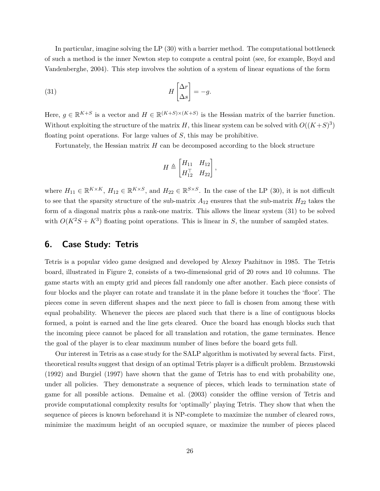In particular, imagine solving the LP (30) with a barrier method. The computational bottleneck of such a method is the inner Newton step to compute a central point (see, for example, Boyd and Vandenberghe, 2004). This step involves the solution of a system of linear equations of the form

(31) 
$$
H\begin{bmatrix} \Delta r \\ \Delta s \end{bmatrix} = -g.
$$

Here,  $g \in \mathbb{R}^{K+S}$  is a vector and  $H \in \mathbb{R}^{(K+S)\times (K+S)}$  is the Hessian matrix of the barrier function. Without exploiting the structure of the matrix *H*, this linear system can be solved with  $O((K+S)^3)$ floating point operations. For large values of *S*, this may be prohibitive.

Fortunately, the Hessian matrix *H* can be decomposed according to the block structure

$$
H \triangleq \begin{bmatrix} H_{11} & H_{12} \\ H_{12}^{\top} & H_{22} \end{bmatrix},
$$

where  $H_{11} \in \mathbb{R}^{K \times K}$ ,  $H_{12} \in \mathbb{R}^{K \times S}$ , and  $H_{22} \in \mathbb{R}^{S \times S}$ . In the case of the LP (30), it is not difficult to see that the sparsity structure of the sub-matrix  $A_{12}$  ensures that the sub-matrix  $H_{22}$  takes the form of a diagonal matrix plus a rank-one matrix. This allows the linear system (31) to be solved with  $O(K^2S + K^3)$  floating point operations. This is linear in *S*, the number of sampled states.

## **6. Case Study: Tetris**

Tetris is a popular video game designed and developed by Alexey Pazhitnov in 1985. The Tetris board, illustrated in Figure 2, consists of a two-dimensional grid of 20 rows and 10 columns. The game starts with an empty grid and pieces fall randomly one after another. Each piece consists of four blocks and the player can rotate and translate it in the plane before it touches the 'floor'. The pieces come in seven different shapes and the next piece to fall is chosen from among these with equal probability. Whenever the pieces are placed such that there is a line of contiguous blocks formed, a point is earned and the line gets cleared. Once the board has enough blocks such that the incoming piece cannot be placed for all translation and rotation, the game terminates. Hence the goal of the player is to clear maximum number of lines before the board gets full.

Our interest in Tetris as a case study for the SALP algorithm is motivated by several facts. First, theoretical results suggest that design of an optimal Tetris player is a difficult problem. Brzustowski (1992) and Burgiel (1997) have shown that the game of Tetris has to end with probability one, under all policies. They demonstrate a sequence of pieces, which leads to termination state of game for all possible actions. Demaine et al. (2003) consider the offline version of Tetris and provide computational complexity results for 'optimally' playing Tetris. They show that when the sequence of pieces is known beforehand it is NP-complete to maximize the number of cleared rows, minimize the maximum height of an occupied square, or maximize the number of pieces placed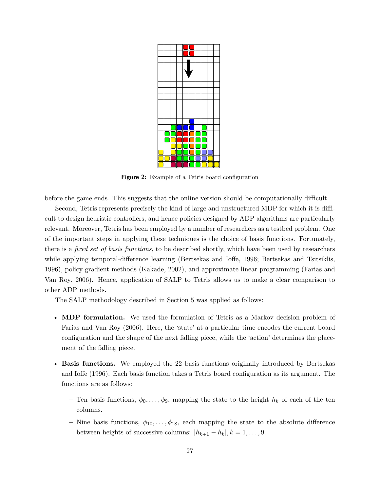

**Figure 2:** Example of a Tetris board configuration

before the game ends. This suggests that the online version should be computationally difficult.

Second, Tetris represents precisely the kind of large and unstructured MDP for which it is difficult to design heuristic controllers, and hence policies designed by ADP algorithms are particularly relevant. Moreover, Tetris has been employed by a number of researchers as a testbed problem. One of the important steps in applying these techniques is the choice of basis functions. Fortunately, there is a *fixed set of basis functions*, to be described shortly, which have been used by researchers while applying temporal-difference learning (Bertsekas and Ioffe, 1996; Bertsekas and Tsitsiklis, 1996), policy gradient methods (Kakade, 2002), and approximate linear programming (Farias and Van Roy, 2006). Hence, application of SALP to Tetris allows us to make a clear comparison to other ADP methods.

The SALP methodology described in Section 5 was applied as follows:

- **MDP formulation.** We used the formulation of Tetris as a Markov decision problem of Farias and Van Roy (2006). Here, the 'state' at a particular time encodes the current board configuration and the shape of the next falling piece, while the 'action' determines the placement of the falling piece.
- **Basis functions.** We employed the 22 basis functions originally introduced by Bertsekas and Ioffe (1996). Each basis function takes a Tetris board configuration as its argument. The functions are as follows:
	- **–** Ten basis functions,  $\phi_0, \ldots, \phi_9$ , mapping the state to the height  $h_k$  of each of the ten columns.
	- Nine basis functions,  $\phi_{10}, \ldots, \phi_{18}$ , each mapping the state to the absolute difference between heights of successive columns:  $|h_{k+1} - h_k|, k = 1, \ldots, 9$ .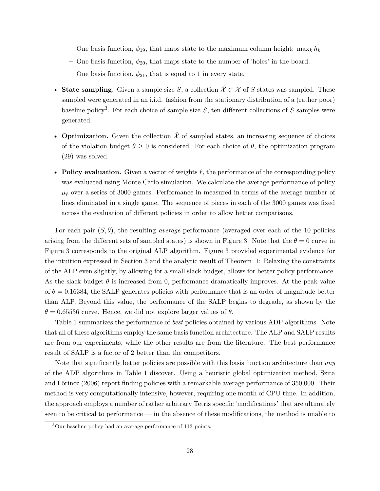- **–** One basis function, *φ*19, that maps state to the maximum column height: max*<sup>k</sup> h<sup>k</sup>*
- **–** One basis function, *φ*20, that maps state to the number of 'holes' in the board.
- $-$  One basis function,  $\phi_{21}$ , that is equal to 1 in every state.
- **State sampling.** Given a sample size *S*, a collection  $\hat{\mathcal{X}} \subset \mathcal{X}$  of *S* states was sampled. These sampled were generated in an i.i.d. fashion from the stationary distribution of a (rather poor) baseline policy<sup>3</sup>. For each choice of sample size S, ten different collections of S samples were generated.
- **Optimization.** Given the collection  $\hat{\mathcal{X}}$  of sampled states, an increasing sequence of choices of the violation budget  $\theta \geq 0$  is considered. For each choice of  $\theta$ , the optimization program (29) was solved.
- **Policy evaluation.** Given a vector of weights  $\hat{r}$ , the performance of the corresponding policy was evaluated using Monte Carlo simulation. We calculate the average performance of policy  $\mu_{\hat{r}}$  over a series of 3000 games. Performance in measured in terms of the average number of lines eliminated in a single game. The sequence of pieces in each of the 3000 games was fixed across the evaluation of different policies in order to allow better comparisons.

For each pair  $(S, \theta)$ , the resulting *average* performance (averaged over each of the 10 policies arising from the different sets of sampled states) is shown in Figure 3. Note that the  $\theta = 0$  curve in Figure 3 corresponds to the original ALP algorithm. Figure 3 provided experimental evidence for the intuition expressed in Section 3 and the analytic result of Theorem 1: Relaxing the constraints of the ALP even slightly, by allowing for a small slack budget, allows for better policy performance. As the slack budget  $\theta$  is increased from 0, performance dramatically improves. At the peak value of  $\theta = 0.16384$ , the SALP generates policies with performance that is an order of magnitude better than ALP. Beyond this value, the performance of the SALP begins to degrade, as shown by the  $\theta = 0.65536$  curve. Hence, we did not explore larger values of  $\theta$ .

Table 1 summarizes the performance of *best* policies obtained by various ADP algorithms. Note that all of these algorithms employ the same basis function architecture. The ALP and SALP results are from our experiments, while the other results are from the literature. The best performance result of SALP is a factor of 2 better than the competitors.

Note that significantly better policies are possible with this basis function architecture than *any* of the ADP algorithms in Table 1 discover. Using a heuristic global optimization method, Szita and L˝orincz (2006) report finding policies with a remarkable average performance of 350*,*000. Their method is very computationally intensive, however, requiring one month of CPU time. In addition, the approach employs a number of rather arbitrary Tetris specific 'modifications' that are ultimately seen to be critical to performance — in the absence of these modifications, the method is unable to

<sup>&</sup>lt;sup>3</sup>Our baseline policy had an average performance of 113 points.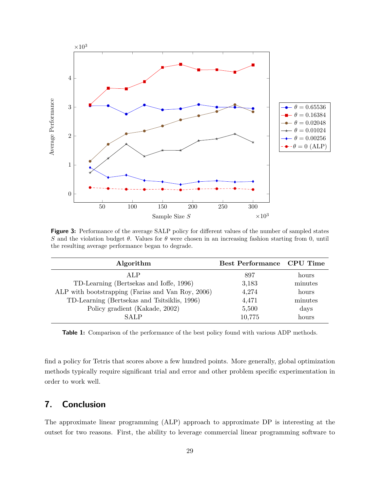

**Figure 3:** Performance of the average SALP policy for different values of the number of sampled states *S* and the violation budget *θ*. Values for *θ* were chosen in an increasing fashion starting from 0, until the resulting average performance began to degrade.

| Algorithm                                         | Best Performance CPU Time |         |
|---------------------------------------------------|---------------------------|---------|
| ALP                                               | 897                       | hours   |
| TD-Learning (Bertsekas and Ioffe, 1996)           | 3,183                     | minutes |
| ALP with bootstrapping (Farias and Van Roy, 2006) | 4,274                     | hours   |
| TD-Learning (Bertsekas and Tsitsiklis, 1996)      | 4,471                     | minutes |
| Policy gradient (Kakade, 2002)                    | 5,500                     | days    |
| <b>SALP</b>                                       | 10,775                    | hours   |

**Table 1:** Comparison of the performance of the best policy found with various ADP methods.

find a policy for Tetris that scores above a few hundred points. More generally, global optimization methods typically require significant trial and error and other problem specific experimentation in order to work well.

# **7. Conclusion**

The approximate linear programming (ALP) approach to approximate DP is interesting at the outset for two reasons. First, the ability to leverage commercial linear programming software to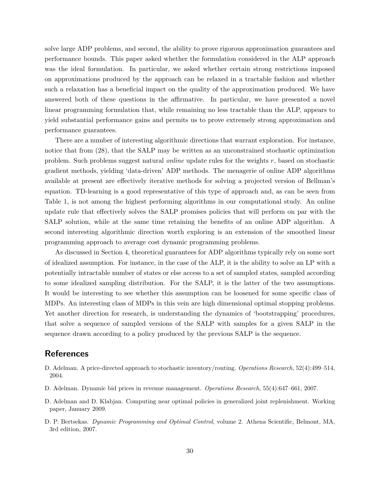solve large ADP problems, and second, the ability to prove rigorous approximation guarantees and performance bounds. This paper asked whether the formulation considered in the ALP approach was the ideal formulation. In particular, we asked whether certain strong restrictions imposed on approximations produced by the approach can be relaxed in a tractable fashion and whether such a relaxation has a beneficial impact on the quality of the approximation produced. We have answered both of these questions in the affirmative. In particular, we have presented a novel linear programming formulation that, while remaining no less tractable than the ALP, appears to yield substantial performance gains and permits us to prove extremely strong approximation and performance guarantees.

There are a number of interesting algorithmic directions that warrant exploration. For instance, notice that from (28), that the SALP may be written as an unconstrained stochastic optimization problem. Such problems suggest natural *online* update rules for the weights *r*, based on stochastic gradient methods, yielding 'data-driven' ADP methods. The menagerie of online ADP algorithms available at present are effectively iterative methods for solving a projected version of Bellman's equation. TD-learning is a good representative of this type of approach and, as can be seen from Table 1, is not among the highest performing algorithms in our computational study. An online update rule that effectively solves the SALP promises policies that will perform on par with the SALP solution, while at the same time retaining the benefits of an online ADP algorithm. A second interesting algorithmic direction worth exploring is an extension of the smoothed linear programming approach to average cost dynamic programming problems.

As discussed in Section 4, theoretical guarantees for ADP algorithms typically rely on some sort of idealized assumption. For instance, in the case of the ALP, it is the ability to solve an LP with a potentially intractable number of states or else access to a set of sampled states, sampled according to some idealized sampling distribution. For the SALP, it is the latter of the two assumptions. It would be interesting to see whether this assumption can be loosened for some specific class of MDPs. An interesting class of MDPs in this vein are high dimensional optimal stopping problems. Yet another direction for research, is understanding the dynamics of 'bootstrapping' procedures, that solve a sequence of sampled versions of the SALP with samples for a given SALP in the sequence drawn according to a policy produced by the previous SALP is the sequence.

## **References**

- D. Adelman. A price-directed approach to stochastic inventory/routing. *Operations Research*, 52(4):499–514, 2004.
- D. Adelman. Dynamic bid prices in revenue management. *Operations Research*, 55(4):647–661, 2007.
- D. Adelman and D. Klabjan. Computing near optimal policies in generalized joint replenishment. Working paper, January 2009.
- D. P. Bertsekas. *Dynamic Programming and Optimal Control*, volume 2. Athena Scientific, Belmont, MA, 3rd edition, 2007.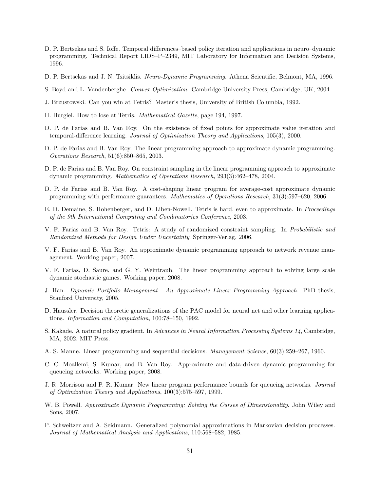- D. P. Bertsekas and S. Ioffe. Temporal differences–based policy iteration and applications in neuro–dynamic programming. Technical Report LIDS–P–2349, MIT Laboratory for Information and Decision Systems, 1996.
- D. P. Bertsekas and J. N. Tsitsiklis. *Neuro-Dynamic Programming*. Athena Scientific, Belmont, MA, 1996.
- S. Boyd and L. Vandenberghe. *Convex Optimization*. Cambridge University Press, Cambridge, UK, 2004.
- J. Brzustowski. Can you win at Tetris? Master's thesis, University of British Columbia, 1992.
- H. Burgiel. How to lose at Tetris. *Mathematical Gazette*, page 194, 1997.
- D. P. de Farias and B. Van Roy. On the existence of fixed points for approximate value iteration and temporal-difference learning. *Journal of Optimization Theory and Applications*, 105(3), 2000.
- D. P. de Farias and B. Van Roy. The linear programming approach to approximate dynamic programming. *Operations Research*, 51(6):850–865, 2003.
- D. P. de Farias and B. Van Roy. On constraint sampling in the linear programming approach to approximate dynamic programming. *Mathematics of Operations Research*, 293(3):462–478, 2004.
- D. P. de Farias and B. Van Roy. A cost-shaping linear program for average-cost approximate dynamic programming with performance guarantees. *Mathematics of Operations Research*, 31(3):597–620, 2006.
- E. D. Demaine, S. Hohenberger, and D. Liben-Nowell. Tetris is hard, even to approximate. In *Proceedings of the 9th International Computing and Combinatorics Conference*, 2003.
- V. F. Farias and B. Van Roy. Tetris: A study of randomized constraint sampling. In *Probabilistic and Randomized Methods for Design Under Uncertainty*. Springer-Verlag, 2006.
- V. F. Farias and B. Van Roy. An approximate dynamic programming approach to network revenue management. Working paper, 2007.
- V. F. Farias, D. Saure, and G. Y. Weintraub. The linear programming approach to solving large scale dynamic stochastic games. Working paper, 2008.
- J. Han. *Dynamic Portfolio Management An Approximate Linear Programming Approach*. PhD thesis, Stanford University, 2005.
- D. Haussler. Decision theoretic generalizations of the PAC model for neural net and other learning applications. *Information and Computation*, 100:78–150, 1992.
- S. Kakade. A natural policy gradient. In *Advances in Neural Information Processing Systems 14*, Cambridge, MA, 2002. MIT Press.
- A. S. Manne. Linear programming and sequential decisions. *Management Science*, 60(3):259–267, 1960.
- C. C. Moallemi, S. Kumar, and B. Van Roy. Approximate and data-driven dynamic programming for queueing networks. Working paper, 2008.
- J. R. Morrison and P. R. Kumar. New linear program performance bounds for queueing networks. *Journal of Optimization Theory and Applications*, 100(3):575–597, 1999.
- W. B. Powell. *Approximate Dynamic Programming: Solving the Curses of Dimensionality*. John Wiley and Sons, 2007.
- P. Schweitzer and A. Seidmann. Generalized polynomial approximations in Markovian decision processes. *Journal of Mathematical Analysis and Applications*, 110:568–582, 1985.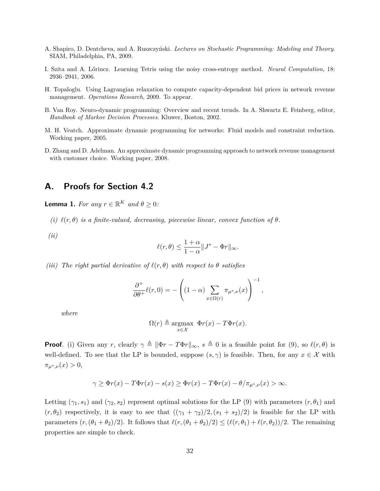- A. Shapiro, D. Dentcheva, and A. Ruszczyński. Lectures on Stochastic Programming: Modeling and Theory. SIAM, Philadelphia, PA, 2009.
- I. Szita and A. Lőrincz. Learning Tetris using the noisy cross-entropy method. *Neural Computation*, 18: 2936–2941, 2006.
- H. Topaloglu. Using Lagrangian relaxation to compute capacity-dependent bid prices in network revenue management. *Operations Research*, 2009. To appear.
- B. Van Roy. Neuro-dynamic programming: Overview and recent trends. In A. Shwartz E. Feinberg, editor, *Handbook of Markov Decision Processes*. Kluwer, Boston, 2002.
- M. H. Veatch. Approximate dynamic programming for networks: Fluid models and constraint reduction. Working paper, 2005.
- D. Zhang and D. Adelman. An approximate dynamic programming approach to network revenue management with customer choice. Working paper, 2008.

## **A. Proofs for Section 4.2**

**Lemma 1.** *For any*  $r \in \mathbb{R}^K$  *and*  $\theta \geq 0$ *:* 

*(i)*  $\ell(r, \theta)$  *is a finite-valued, decreasing, piecewise linear, convex function of*  $\theta$ *.* 

*(ii)*

$$
\ell(r,\theta) \le \frac{1+\alpha}{1-\alpha} \|J^* - \Phi r\|_{\infty}.
$$

*(iii)* The right partial derivative of  $\ell(r, \theta)$  with respect to  $\theta$  satisfies

$$
\frac{\partial^+}{\partial \theta^+} \ell(r,0) = -\left( (1-\alpha) \sum_{x \in \Omega(r)} \pi_{\mu^*,\nu}(x) \right)^{-1},
$$

*where*

$$
\Omega(r) \triangleq \underset{x \in \mathcal{X}}{\operatorname{argmax}} \ \Phi(r(x) - T\Phi(r(x)).
$$

**Proof**. (i) Given any *r*, clearly  $\gamma \triangleq ||\Phi r - T \Phi r||_{\infty}$ ,  $s \triangleq 0$  is a feasible point for (9), so  $\ell(r, \theta)$  is well-defined. To see that the LP is bounded, suppose  $(s, \gamma)$  is feasible. Then, for any  $x \in \mathcal{X}$  with  $\pi_{\mu^*,\nu}(x) > 0,$ 

$$
\gamma \geq \Phi r(x) - T\Phi r(x) - s(x) \geq \Phi r(x) - T\Phi r(x) - \theta/\pi_{\mu^*,\nu}(x) > \infty.
$$

Letting  $(\gamma_1, s_1)$  and  $(\gamma_2, s_2)$  represent optimal solutions for the LP (9) with parameters  $(r, \theta_1)$  and  $(r, \theta_2)$  respectively, it is easy to see that  $((\gamma_1 + \gamma_2)/2, (s_1 + s_2)/2)$  is feasible for the LP with parameters  $(r,(\theta_1 + \theta_2)/2)$ . It follows that  $\ell(r,(\theta_1 + \theta_2)/2) \leq (\ell(r,\theta_1) + \ell(r,\theta_2))/2$ . The remaining properties are simple to check.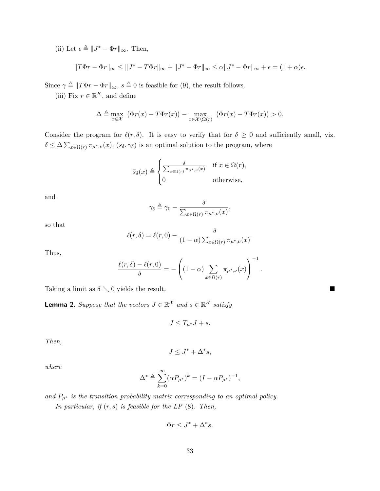(ii) Let  $\epsilon \triangleq ||J^* - \Phi r||_{\infty}$ . Then,

$$
||T\Phi r - \Phi r||_{\infty} \le ||J^* - T\Phi r||_{\infty} + ||J^* - \Phi r||_{\infty} \le \alpha ||J^* - \Phi r||_{\infty} + \epsilon = (1 + \alpha)\epsilon.
$$

Since  $\gamma \triangleq ||T\Phi r - \Phi r||_{\infty}$ ,  $s \triangleq 0$  is feasible for (9), the result follows.

(iii) Fix  $r \in \mathbb{R}^K$ , and define

$$
\Delta \triangleq \max_{x \in \mathcal{X}} (\Phi r(x) - T\Phi r(x)) - \max_{x \in \mathcal{X} \setminus \Omega(r)} (\Phi r(x) - T\Phi r(x)) > 0.
$$

Consider the program for  $\ell(r, \delta)$ . It is easy to verify that for  $\delta \geq 0$  and sufficiently small, viz.  $\delta \leq \Delta \sum_{x \in \Omega(r)} \pi_{\mu^*,\nu}(x)$ ,  $(\bar{s}_{\delta}, \bar{\gamma}_{\delta})$  is an optimal solution to the program, where

$$
\bar{s}_{\delta}(x) \triangleq \begin{cases} \frac{\delta}{\sum_{x \in \Omega(r)} \pi_{\mu^*, \nu}(x)} & \text{if } x \in \Omega(r), \\ 0 & \text{otherwise}, \end{cases}
$$

and

$$
\bar{\gamma}_{\delta} \triangleq \gamma_0 - \frac{\delta}{\sum_{x \in \Omega(r)} \pi_{\mu^*,\nu}(x)},
$$

so that

$$
\ell(r,\delta) = \ell(r,0) - \frac{\delta}{(1-\alpha)\sum_{x \in \Omega(r)} \pi_{\mu^*,\nu}(x)}.
$$

Thus,

$$
\frac{\ell(r,\delta) - \ell(r,0)}{\delta} = -\left( (1-\alpha) \sum_{x \in \Omega(r)} \pi_{\mu^*,\nu}(x) \right)^{-1}.
$$

Taking a limit as  $\delta \searrow 0$  yields the result.

**Lemma 2.** Suppose that the vectors  $J \in \mathbb{R}^{\mathcal{X}}$  and  $s \in \mathbb{R}^{\mathcal{X}}$  satisfy

 $J \le T_{\mu^*} J + s$ .

*Then,*

$$
J \leq J^* + \Delta^* s,
$$

*where*

$$
\Delta^* \triangleq \sum_{k=0}^{\infty} (\alpha P_{\mu^*})^k = (I - \alpha P_{\mu^*})^{-1},
$$

*and*  $P_{\mu^*}$  *is the transition probability matrix corresponding to an optimal policy.* 

*In particular, if* (*r, s*) *is feasible for the LP* (8)*. Then,*

 $\Phi r \leq J^* + \Delta^* s.$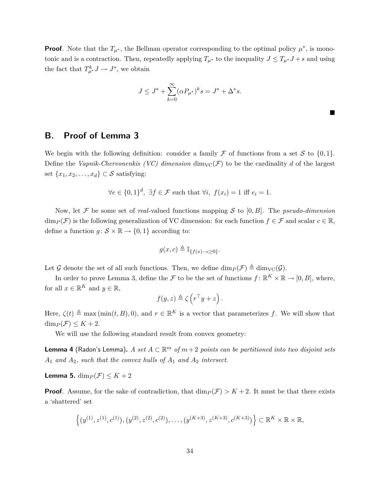**Proof**. Note that the  $T_{\mu^*}$ , the Bellman operator corresponding to the optimal policy  $\mu^*$ , is monotonic and is a contraction. Then, repeatedly applying  $T_{\mu^*}$  to the inequality  $J \leq T_{\mu^*}J + s$  and using the fact that  $T_{\mu^*}^k J \to J^*$ , we obtain

$$
J \le J^* + \sum_{k=0}^{\infty} (\alpha P_{\mu^*})^k s = J^* + \Delta^* s.
$$

ш

## **B. Proof of Lemma 3**

We begin with the following definition: consider a family  $\mathcal F$  of functions from a set  $\mathcal S$  to  $\{0,1\}$ . Define the *Vapnik-Chervonenkis (VC)* dimension  $\dim_{\text{VC}}(\mathcal{F})$  to be the cardinality *d* of the largest set  $\{x_1, x_2, \ldots, x_d\} \subset \mathcal{S}$  satisfying:

$$
\forall e \in \{0,1\}^d, \exists f \in \mathcal{F} \text{ such that } \forall i, \ f(x_i) = 1 \text{ iff } e_i = 1.
$$

Now, let  $\mathcal F$  be some set of *real*-valued functions mapping S to [0, B]. The *pseudo-dimension* dim<sub>*P*</sub>( $\mathcal{F}$ ) is the following generalization of VC dimension: for each function  $f \in \mathcal{F}$  and scalar  $c \in \mathbb{R}$ , define a function  $g: \mathcal{S} \times \mathbb{R} \to \{0,1\}$  according to:

$$
g(x,c) \triangleq \mathbb{I}_{\{f(x)-c\geq 0\}}.
$$

Let G denote the set of all such functions. Then, we define  $\dim_P(\mathcal{F}) \triangleq \dim_{\text{VC}}(\mathcal{G})$ .

In order to prove Lemma 3, define the  $\mathcal F$  to be the set of functions  $f: \mathbb R^K \times \mathbb R \to [0, B]$ , where, for all  $x \in \mathbb{R}^K$  and  $y \in \mathbb{R}$ ,

$$
f(y, z) \triangleq \zeta \left( r^\top y + z \right).
$$

Here,  $\zeta(t) \triangleq \max(\min(t, B), 0)$ , and  $r \in \mathbb{R}^K$  is a vector that parameterizes f. We will show that dim<sub>*P*</sub> $(F) \leq K + 2$ .

We will use the following standard result from convex geometry:

**Lemma 4** (Radon's Lemma). *A set*  $A \subset \mathbb{R}^m$  *of*  $m+2$  *points can be partitioned into two disjoint sets A*<sup>1</sup> *and A*2*, such that the convex hulls of A*<sup>1</sup> *and A*<sup>2</sup> *intersect.*

**Lemma 5.** dim $_P(\mathcal{F}) \leq K + 2$ 

**Proof***.* Assume, for the sake of contradiction, that  $\dim_P(\mathcal{F}) > K + 2$ . It must be that there exists a 'shattered' set

$$
\left\{(y^{(1)}, z^{(1)}, c^{(1)}), (y^{(2)}, z^{(2)}, c^{(2)}), \ldots, (y^{(K+3)}, z^{(K+3)}, c^{(K+3)})\right\} \subset \mathbb{R}^K \times \mathbb{R} \times \mathbb{R},
$$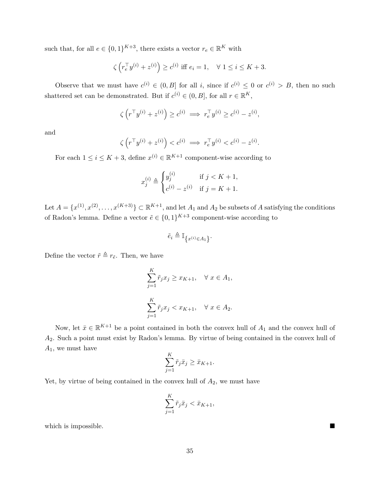such that, for all  $e \in \{0,1\}^{K+3}$ , there exists a vector  $r_e \in \mathbb{R}^K$  with

$$
\zeta\left(r_e^{\top}y^{(i)} + z^{(i)}\right) \ge c^{(i)} \text{ iff } e_i = 1, \quad \forall \ 1 \le i \le K+3.
$$

Observe that we must have  $c^{(i)} \in (0, B]$  for all *i*, since if  $c^{(i)} \leq 0$  or  $c^{(i)} > B$ , then no such shattered set can be demonstrated. But if  $c^{(i)} \in (0, B]$ , for all  $r \in \mathbb{R}^K$ ,

$$
\zeta\left(r^{\top}y^{(i)}+z^{(i)}\right)\geq c^{(i)}\implies r_e^{\top}y^{(i)}\geq c^{(i)}-z^{(i)},
$$

and

$$
\zeta\left(r^\top y^{(i)} + z^{(i)}\right) < c^{(i)} \implies r_e^\top y^{(i)} < c^{(i)} - z^{(i)}.
$$

For each  $1 \leq i \leq K+3$ , define  $x^{(i)} \in \mathbb{R}^{K+1}$  component-wise according to

$$
x_j^{(i)} \triangleq \begin{cases} y_j^{(i)} & \text{if } j < K+1, \\ c^{(i)} - z^{(i)} & \text{if } j = K+1. \end{cases}
$$

Let  $A = \{x^{(1)}, x^{(2)}, \ldots, x^{(K+3)}\} \subset \mathbb{R}^{K+1}$ , and let  $A_1$  and  $A_2$  be subsets of  $A$  satisfying the conditions of Radon's lemma. Define a vector  $\tilde{e} \in \{0,1\}^{K+3}$  component-wise according to

$$
\tilde{e}_i \triangleq \mathbb{I}_{\left\{x^{(i)} \in A_1\right\}}.
$$

Define the vector  $\tilde{r} \triangleq r_{\tilde{e}}$ . Then, we have

$$
\sum_{j=1}^{K} \tilde{r}_j x_j \ge x_{K+1}, \quad \forall x \in A_1,
$$
  

$$
\sum_{j=1}^{K} \tilde{r}_j x_j < x_{K+1}, \quad \forall x \in A_2.
$$

Now, let  $\bar{x} \in \mathbb{R}^{K+1}$  be a point contained in both the convex hull of  $A_1$  and the convex hull of *A*2. Such a point must exist by Radon's lemma. By virtue of being contained in the convex hull of *A*1, we must have

$$
\sum_{j=1}^K \tilde{r}_j \bar{x}_j \ge \bar{x}_{K+1}.
$$

Yet, by virtue of being contained in the convex hull of  $A_2$ , we must have

$$
\sum_{j=1}^K \tilde{r}_j \bar{x}_j < \bar{x}_{K+1},
$$

which is impossible.

35